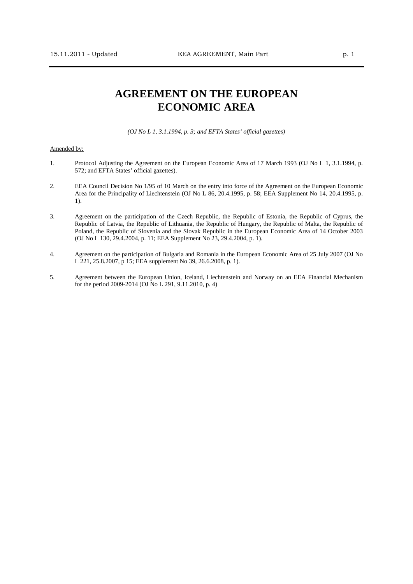# **AGREEMENT ON THE EUROPEAN ECONOMIC AREA**

*(OJ No L 1, 3.1.1994, p. 3; and EFTA States' official gazettes)*

# Amended by:

- 1. Protocol Adjusting the Agreement on the European Economic Area of 17 March 1993 (OJ No L 1, 3.1.1994, p. 572; and EFTA States' official gazettes).
- 2. EEA Council Decision No 1/95 of 10 March on the entry into force of the Agreement on the European Economic Area for the Principality of Liechtenstein (OJ No L 86, 20.4.1995, p. 58; EEA Supplement No 14, 20.4.1995, p. 1).
- 3. Agreement on the participation of the Czech Republic, the Republic of Estonia, the Republic of Cyprus, the Republic of Latvia, the Republic of Lithuania, the Republic of Hungary, the Republic of Malta, the Republic of Poland, the Republic of Slovenia and the Slovak Republic in the European Economic Area of 14 October 2003 (OJ No L 130, 29.4.2004, p. 11; EEA Supplement No 23, 29.4.2004, p. 1).
- 4. Agreement on the participation of Bulgaria and Romania in the European Economic Area of 25 July 2007 (OJ No L 221, 25.8.2007, p 15; EEA supplement No 39, 26.6.2008, p. 1).
- <span id="page-0-0"></span>5. Agreement between the European Union, Iceland, Liechtenstein and Norway on an EEA Financial Mechanism for the period 2009-2014 (OJ No L 291, 9.11.2010, p. 4)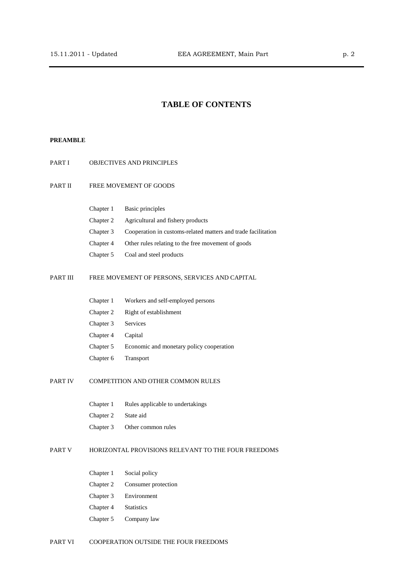# **TABLE OF CONTENTS**

### **PREAMBLE**

PART I OBJECTIVES AND PRINCIPLES

# PART II FREE MOVEMENT OF GOODS

| Chapter 1 |  | Basic principles |  |
|-----------|--|------------------|--|
|-----------|--|------------------|--|

- Chapter 2 Agricultural and fishery products
- Chapter 3 Cooperation in customs-related matters and trade facilitation
- Chapter 4 Other rules relating to the free movement of goods
- Chapter 5 Coal and steel products

# PART III FREE MOVEMENT OF PERSONS, SERVICES AND CAPITAL

- Chapter 1 Workers and self-employed persons
- Chapter 2 Right of establishment
- Chapter 3 Services
- Chapter 4 Capital
- Chapter 5 Economic and monetary policy cooperation
- Chapter 6 Transport

# PART IV COMPETITION AND OTHER COMMON RULES

- Chapter 1 Rules applicable to undertakings
- Chapter 2 State aid
- Chapter 3 Other common rules

### PART V HORIZONTAL PROVISIONS RELEVANT TO THE FOUR FREEDOMS

Chapter 1 Social policy Chapter 2 Consumer protection Chapter 3 Environment Chapter 4 Statistics Chapter 5 Company law

### PART VI COOPERATION OUTSIDE THE FOUR FREEDOMS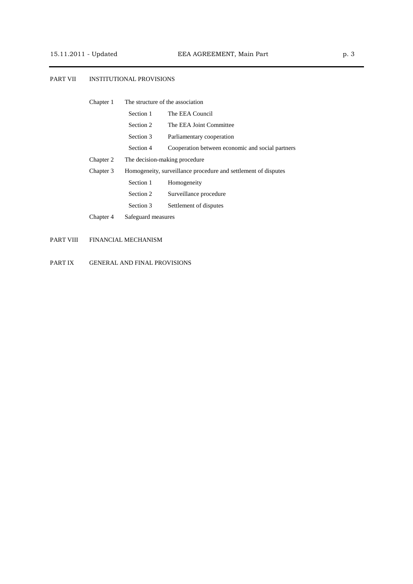# PART VII INSTITUTIONAL PROVISIONS

| Chapter 1 | The structure of the association                               |                                                  |  |
|-----------|----------------------------------------------------------------|--------------------------------------------------|--|
|           | Section 1                                                      | The EEA Council                                  |  |
|           | Section 2                                                      | The EEA Joint Committee                          |  |
|           | Section 3                                                      | Parliamentary cooperation                        |  |
|           | Section 4                                                      | Cooperation between economic and social partners |  |
| Chapter 2 | The decision-making procedure                                  |                                                  |  |
| Chapter 3 | Homogeneity, surveillance procedure and settlement of disputes |                                                  |  |
|           | Section 1                                                      | Homogeneity                                      |  |
|           | Section 2                                                      | Surveillance procedure                           |  |
|           | Section 3                                                      | Settlement of disputes                           |  |
|           |                                                                |                                                  |  |

Chapter 4 Safeguard measures

# PART VIII FINANCIAL MECHANISM

PART IX GENERAL AND FINAL PROVISIONS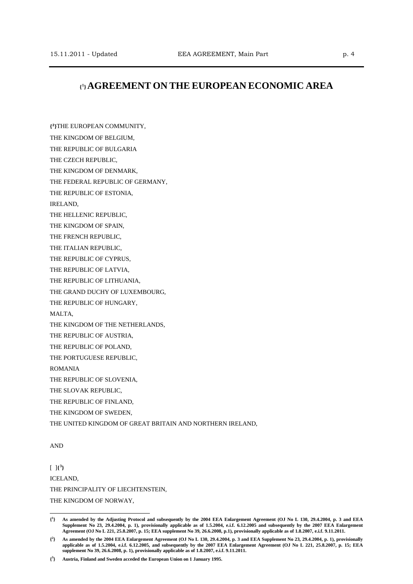**{[2](#page-3-0)}**THE EUROPEAN COMMUNITY, THE KINGDOM OF BELGIUM, THE REPUBLIC OF BULGARIA

# **{[1](#page-0-0) }AGREEMENT ON THE EUROPEAN ECONOMIC AREA**

THE CZECH REPUBLIC, THE KINGDOM OF DENMARK, THE FEDERAL REPUBLIC OF GERMANY, THE REPUBLIC OF ESTONIA, IRELAND, THE HELLENIC REPUBLIC, THE KINGDOM OF SPAIN, THE FRENCH REPUBLIC, THE ITALIAN REPUBLIC, THE REPUBLIC OF CYPRUS, THE REPUBLIC OF LATVIA, THE REPUBLIC OF LITHUANIA, THE GRAND DUCHY OF LUXEMBOURG, THE REPUBLIC OF HUNGARY, MALTA, THE KINGDOM OF THE NETHERLANDS, THE REPUBLIC OF AUSTRIA, THE REPUBLIC OF POLAND, THE PORTUGUESE REPUBLIC, ROMANIA THE REPUBLIC OF SLOVENIA,

THE SLOVAK REPUBLIC,

THE REPUBLIC OF FINLAND,

THE KINGDOM OF SWEDEN,

THE UNITED KINGDOM OF GREAT BRITAIN AND NORTHERN IRELAND,

AND

-

 $\left[ \right. \left. \right. \left. \right. \left. \right. \left. \right. \left. \left. \right. \left. \right. \left. \right. \left. \left. \right. \right. \left. \left. \right. \left. \right. \left. \left. \right. \right. \left. \left. \right. \left. \right. \left. \left. \right. \right. \left. \left. \right. \right. \left. \left. \right. \left. \right. \left. \left. \right. \right. \left. \left. \right. \right. \left. \left. \right. \right. \left. \left. \right. \right. \left. \left. \right. \left. \left. \right. \right. \left. \left. \$ ICELAND, THE PRINCIPALITY OF LIECHTENSTEIN, THE KINGDOM OF NORWAY,

**<sup>{</sup> 1 } As amended by the Adjusting Protocol and subsequently by the 2004 EEA Enlargement Agreement (OJ No L 130, 29.4.2004, p. 3 and EEA Supplement No 23, 29.4.2004, p. 1), provisionally applicable as of 1.5.2004, e.i.f. 6.12.2005 and subsequently by the 2007 EEA Enlargement Agreement (OJ No L 221, 25.8.2007, p. 15; EEA supplement No 39, 26.6.2008, p.1), provisionally applicable as of 1.8.2007, e.i.f. 9.11.2011.**

<span id="page-3-0"></span> $\binom{2}{1}$  As amended by the 2004 EEA Enlargement Agreement (OJ No L 130, 29.4.2004, p. 3 and EEA Supplement No 23, 29.4.2004, p. 1), provisionally **applicable as of 1.5.2004, e.i.f. 6.12.2005, and subsequently by the 2007 EEA Enlargement Agreement (OJ No L 221, 25.8.2007, p. 15; EEA supplement No 39, 26.6.2008, p. 1), provisionally applicable as of 1.8.2007, e.i.f. 9.11.2011.**

<span id="page-3-2"></span><span id="page-3-1"></span>**<sup>{</sup> 3 } Austria, Finland and Sweden acceded the European Union on 1 January 1995.**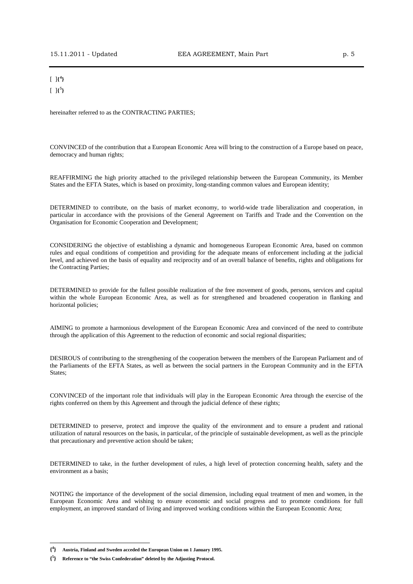# $[ \; ]\{{}^{4}\}$  $[ \; ]\{{}^{4}\}$  $[ \; ]\{{}^{4}\}$

[ ]**{[5](#page-4-0) }**

hereinafter referred to as the CONTRACTING PARTIES;

CONVINCED of the contribution that a European Economic Area will bring to the construction of a Europe based on peace, democracy and human rights;

REAFFIRMING the high priority attached to the privileged relationship between the European Community, its Member States and the EFTA States, which is based on proximity, long-standing common values and European identity;

DETERMINED to contribute, on the basis of market economy, to world-wide trade liberalization and cooperation, in particular in accordance with the provisions of the General Agreement on Tariffs and Trade and the Convention on the Organisation for Economic Cooperation and Development;

CONSIDERING the objective of establishing a dynamic and homogeneous European Economic Area, based on common rules and equal conditions of competition and providing for the adequate means of enforcement including at the judicial level, and achieved on the basis of equality and reciprocity and of an overall balance of benefits, rights and obligations for the Contracting Parties;

DETERMINED to provide for the fullest possible realization of the free movement of goods, persons, services and capital within the whole European Economic Area, as well as for strengthened and broadened cooperation in flanking and horizontal policies;

AIMING to promote a harmonious development of the European Economic Area and convinced of the need to contribute through the application of this Agreement to the reduction of economic and social regional disparities;

DESIROUS of contributing to the strengthening of the cooperation between the members of the European Parliament and of the Parliaments of the EFTA States, as well as between the social partners in the European Community and in the EFTA States;

CONVINCED of the important role that individuals will play in the European Economic Area through the exercise of the rights conferred on them by this Agreement and through the judicial defence of these rights;

DETERMINED to preserve, protect and improve the quality of the environment and to ensure a prudent and rational utilization of natural resources on the basis, in particular, of the principle of sustainable development, as well as the principle that precautionary and preventive action should be taken;

DETERMINED to take, in the further development of rules, a high level of protection concerning health, safety and the environment as a basis;

<span id="page-4-1"></span>NOTING the importance of the development of the social dimension, including equal treatment of men and women, in the European Economic Area and wishing to ensure economic and social progress and to promote conditions for full employment, an improved standard of living and improved working conditions within the European Economic Area;

-

**<sup>{</sup> 4 } Austria, Finland and Sweden acceded the European Union on 1 January 1995.**

<span id="page-4-0"></span>**<sup>{</sup> 5 } Reference to "the Swiss Confederation" deleted by the Adjusting Protocol.**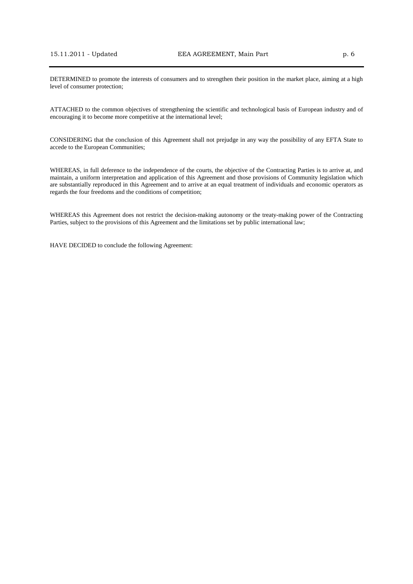DETERMINED to promote the interests of consumers and to strengthen their position in the market place, aiming at a high level of consumer protection;

ATTACHED to the common objectives of strengthening the scientific and technological basis of European industry and of encouraging it to become more competitive at the international level;

CONSIDERING that the conclusion of this Agreement shall not prejudge in any way the possibility of any EFTA State to accede to the European Communities;

WHEREAS, in full deference to the independence of the courts, the objective of the Contracting Parties is to arrive at, and maintain, a uniform interpretation and application of this Agreement and those provisions of Community legislation which are substantially reproduced in this Agreement and to arrive at an equal treatment of individuals and economic operators as regards the four freedoms and the conditions of competition;

WHEREAS this Agreement does not restrict the decision-making autonomy or the treaty-making power of the Contracting Parties, subject to the provisions of this Agreement and the limitations set by public international law;

HAVE DECIDED to conclude the following Agreement: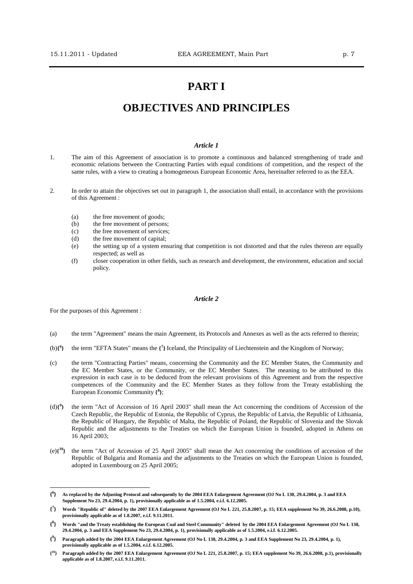# **PART I**

# **OBJECTIVES AND PRINCIPLES**

### *Article 1*

- 1. The aim of this Agreement of association is to promote a continuous and balanced strengthening of trade and economic relations between the Contracting Parties with equal conditions of competition, and the respect of the same rules, with a view to creating a homogeneous European Economic Area, hereinafter referred to as the EEA.
- 2. In order to attain the objectives set out in paragraph 1, the association shall entail, in accordance with the provisions of this Agreement :
	- (a) the free movement of goods;<br>(b) the free movement of persons
	- (b) the free movement of persons;<br>(c) the free movement of services;
	- the free movement of services;
	- (d) the free movement of capital;
	- (e) the setting up of a system ensuring that competition is not distorted and that the rules thereon are equally respected; as well as
	- (f) closer cooperation in other fields, such as research and development, the environment, education and social policy.

### *Article 2*

For the purposes of this Agreement :

-

- (a) the term "Agreement" means the main Agreement, its Protocols and Annexes as well as the acts referred to therein;
- (b)**{[6](#page-4-1) }** the term "EFTA States" means the **{[7](#page-6-0) }** Iceland, the Principality of Liechtenstein and the Kingdom of Norway;
- (c) the term "Contracting Parties" means, concerning the Community and the EC Member States, the Community and the EC Member States, or the Community, or the EC Member States. The meaning to be attributed to this expression in each case is to be deduced from the relevant provisions of this Agreement and from the respective competences of the Community and the EC Member States as they follow from the Treaty establishing the European Economic Community **{[8](#page-6-1) }**;
- (d)**{[9](#page-6-2) }** the term "Act of Accession of 16 April 2003" shall mean the Act concerning the conditions of Accession of the Czech Republic, the Republic of Estonia, the Republic of Cyprus, the Republic of Latvia, the Republic of Lithuania, the Republic of Hungary, the Republic of Malta, the Republic of Poland, the Republic of Slovenia and the Slovak Republic and the adjustments to the Treaties on which the European Union is founded, adopted in Athens on 16 April 2003;
- (e)**{[10](#page-6-3)}** the term "Act of Accession of 25 April 2005" shall mean the Act concerning the conditions of accession of the Republic of Bulgaria and Romania and the adjustments to the Treaties on which the European Union is founded, adopted in Luxembourg on 25 April 2005;

**<sup>{</sup> 6 } As replaced by the Adjusting Protocol and subsequently by the 2004 EEA Enlargement Agreement (OJ No L 130, 29.4.2004, p. 3 and EEA Supplement No 23, 29.4.2004, p. 1), provisionally applicable as of 1.5.2004, e.i.f. 6.12.2005.**

<span id="page-6-0"></span>**<sup>{</sup> 7 } Words "Republic of" deleted by the 2007 EEA Enlargement Agreement (OJ No L 221, 25.8.2007, p. 15; EEA supplement No 39, 26.6.2008, p.10), provisionally applicable as of 1.8.2007, e.i.f. 9.11.2011.**

<span id="page-6-1"></span>**<sup>{</sup> 8 } Words "and the Treaty establishing the European Coal and Steel Community" deleted by the 2004 EEA Enlargement Agreement (OJ No L 130, 29.4.2004, p. 3 and EEA Supplement No 23, 29.4.2004, p. 1), provisionally applicable as of 1.5.2004, e.i.f. 6.12.2005.**

<span id="page-6-2"></span>**<sup>{</sup> 9 } Paragraph added by the 2004 EEA Enlargement Agreement (OJ No L 130, 29.4.2004, p. 3 and EEA Supplement No 23, 29.4.2004, p. 1), provisionally applicable as of 1.5.2004, e.i.f. 6.12.2005.**

<span id="page-6-3"></span>**<sup>{</sup> 10} Paragraph added by the 2007 EEA Enlargement Agreement (OJ No L 221, 25.8.2007, p. 15; EEA supplement No 39, 26.6.2008, p.1), provisionally applicable as of 1.8.2007, e.i.f. 9.11.2011.**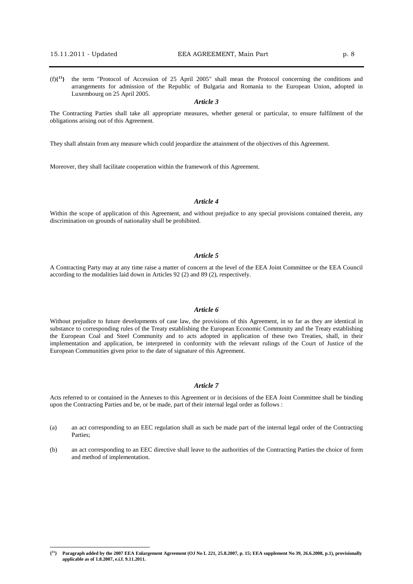-

(f)**{[11](#page-6-3)}** the term "Protocol of Accession of 25 April 2005" shall mean the Protocol concerning the conditions and arrangements for admission of the Republic of Bulgaria and Romania to the European Union, adopted in Luxembourg on 25 April 2005.

### *Article 3*

The Contracting Parties shall take all appropriate measures, whether general or particular, to ensure fulfilment of the obligations arising out of this Agreement.

They shall abstain from any measure which could jeopardize the attainment of the objectives of this Agreement.

Moreover, they shall facilitate cooperation within the framework of this Agreement.

# *Article 4*

Within the scope of application of this Agreement, and without prejudice to any special provisions contained therein, any discrimination on grounds of nationality shall be prohibited.

# *Article 5*

A Contracting Party may at any time raise a matter of concern at the level of the EEA Joint Committee or the EEA Council according to the modalities laid down in Articles 92 (2) and 89 (2), respectively.

# *Article 6*

Without prejudice to future developments of case law, the provisions of this Agreement, in so far as they are identical in substance to corresponding rules of the Treaty establishing the European Economic Community and the Treaty establishing the European Coal and Steel Community and to acts adopted in application of these two Treaties, shall, in their implementation and application, be interpreted in conformity with the relevant rulings of the Court of Justice of the European Communities given prior to the date of signature of this Agreement.

### *Article 7*

Acts referred to or contained in the Annexes to this Agreement or in decisions of the EEA Joint Committee shall be binding upon the Contracting Parties and be, or be made, part of their internal legal order as follows :

- (a) an act corresponding to an EEC regulation shall as such be made part of the internal legal order of the Contracting Parties;
- (b) an act corresponding to an EEC directive shall leave to the authorities of the Contracting Parties the choice of form and method of implementation.

<span id="page-7-0"></span> $\{^{11}\}$ **11} Paragraph added by the 2007 EEA Enlargement Agreement (OJ No L 221, 25.8.2007, p. 15; EEA supplement No 39, 26.6.2008, p.1), provisionally applicable as of 1.8.2007, e.i.f. 9.11.2011.**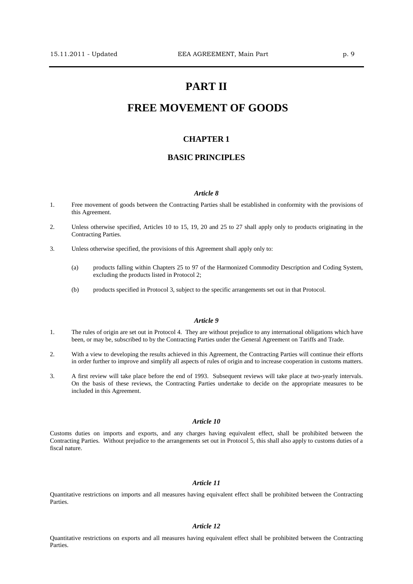# **PART II**

# **FREE MOVEMENT OF GOODS**

# **CHAPTER 1**

# **BASIC PRINCIPLES**

### *Article 8*

- 1. Free movement of goods between the Contracting Parties shall be established in conformity with the provisions of this Agreement.
- 2. Unless otherwise specified, Articles 10 to 15, 19, 20 and 25 to 27 shall apply only to products originating in the Contracting Parties.
- 3. Unless otherwise specified, the provisions of this Agreement shall apply only to:
	- (a) products falling within Chapters 25 to 97 of the Harmonized Commodity Description and Coding System, excluding the products listed in Protocol 2;
	- (b) products specified in Protocol 3, subject to the specific arrangements set out in that Protocol.

#### *Article 9*

- 1. The rules of origin are set out in Protocol 4. They are without prejudice to any international obligations which have been, or may be, subscribed to by the Contracting Parties under the General Agreement on Tariffs and Trade.
- 2. With a view to developing the results achieved in this Agreement, the Contracting Parties will continue their efforts in order further to improve and simplify all aspects of rules of origin and to increase cooperation in customs matters.
- 3. A first review will take place before the end of 1993. Subsequent reviews will take place at two-yearly intervals. On the basis of these reviews, the Contracting Parties undertake to decide on the appropriate measures to be included in this Agreement.

# *Article 10*

Customs duties on imports and exports, and any charges having equivalent effect, shall be prohibited between the Contracting Parties. Without prejudice to the arrangements set out in Protocol 5, this shall also apply to customs duties of a fiscal nature.

# *Article 11*

Quantitative restrictions on imports and all measures having equivalent effect shall be prohibited between the Contracting Parties.

### *Article 12*

Quantitative restrictions on exports and all measures having equivalent effect shall be prohibited between the Contracting Parties.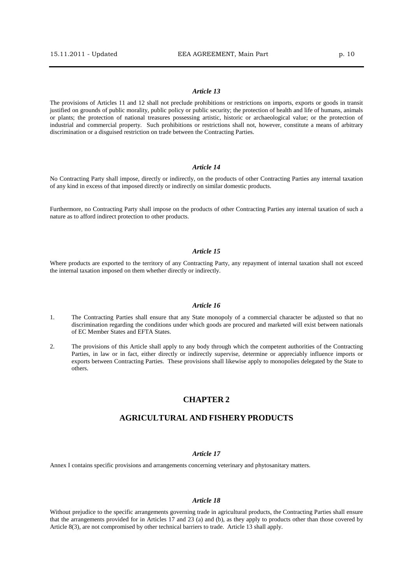The provisions of Articles 11 and 12 shall not preclude prohibitions or restrictions on imports, exports or goods in transit justified on grounds of public morality, public policy or public security; the protection of health and life of humans, animals or plants; the protection of national treasures possessing artistic, historic or archaeological value; or the protection of industrial and commercial property. Such prohibitions or restrictions shall not, however, constitute a means of arbitrary discrimination or a disguised restriction on trade between the Contracting Parties.

#### *Article 14*

No Contracting Party shall impose, directly or indirectly, on the products of other Contracting Parties any internal taxation of any kind in excess of that imposed directly or indirectly on similar domestic products.

Furthermore, no Contracting Party shall impose on the products of other Contracting Parties any internal taxation of such a nature as to afford indirect protection to other products.

### *Article 15*

Where products are exported to the territory of any Contracting Party, any repayment of internal taxation shall not exceed the internal taxation imposed on them whether directly or indirectly.

#### *Article 16*

- 1. The Contracting Parties shall ensure that any State monopoly of a commercial character be adjusted so that no discrimination regarding the conditions under which goods are procured and marketed will exist between nationals of EC Member States and EFTA States.
- 2. The provisions of this Article shall apply to any body through which the competent authorities of the Contracting Parties, in law or in fact, either directly or indirectly supervise, determine or appreciably influence imports or exports between Contracting Parties. These provisions shall likewise apply to monopolies delegated by the State to others.

# **CHAPTER 2**

# **AGRICULTURAL AND FISHERY PRODUCTS**

### *Article 17*

Annex I contains specific provisions and arrangements concerning veterinary and phytosanitary matters.

#### *Article 18*

Without prejudice to the specific arrangements governing trade in agricultural products, the Contracting Parties shall ensure that the arrangements provided for in Articles 17 and 23 (a) and (b), as they apply to products other than those covered by Article 8(3), are not compromised by other technical barriers to trade. Article 13 shall apply.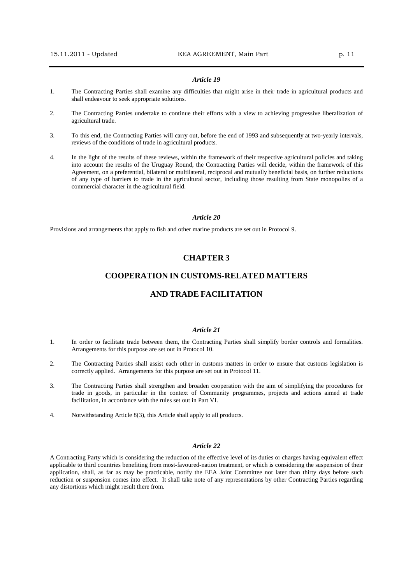- 1. The Contracting Parties shall examine any difficulties that might arise in their trade in agricultural products and shall endeavour to seek appropriate solutions.
- 2. The Contracting Parties undertake to continue their efforts with a view to achieving progressive liberalization of agricultural trade.
- 3. To this end, the Contracting Parties will carry out, before the end of 1993 and subsequently at two-yearly intervals, reviews of the conditions of trade in agricultural products.
- 4. In the light of the results of these reviews, within the framework of their respective agricultural policies and taking into account the results of the Uruguay Round, the Contracting Parties will decide, within the framework of this Agreement, on a preferential, bilateral or multilateral, reciprocal and mutually beneficial basis, on further reductions of any type of barriers to trade in the agricultural sector, including those resulting from State monopolies of a commercial character in the agricultural field.

#### *Article 20*

Provisions and arrangements that apply to fish and other marine products are set out in Protocol 9.

# **CHAPTER 3**

# **COOPERATION IN CUSTOMS-RELATED MATTERS**

# **AND TRADE FACILITATION**

### *Article 21*

- 1. In order to facilitate trade between them, the Contracting Parties shall simplify border controls and formalities. Arrangements for this purpose are set out in Protocol 10.
- 2. The Contracting Parties shall assist each other in customs matters in order to ensure that customs legislation is correctly applied. Arrangements for this purpose are set out in Protocol 11.
- 3. The Contracting Parties shall strengthen and broaden cooperation with the aim of simplifying the procedures for trade in goods, in particular in the context of Community programmes, projects and actions aimed at trade facilitation, in accordance with the rules set out in Part VI.
- 4. Notwithstanding Article 8(3), this Article shall apply to all products.

### *Article 22*

A Contracting Party which is considering the reduction of the effective level of its duties or charges having equivalent effect applicable to third countries benefiting from most-favoured-nation treatment, or which is considering the suspension of their application, shall, as far as may be practicable, notify the EEA Joint Committee not later than thirty days before such reduction or suspension comes into effect. It shall take note of any representations by other Contracting Parties regarding any distortions which might result there from.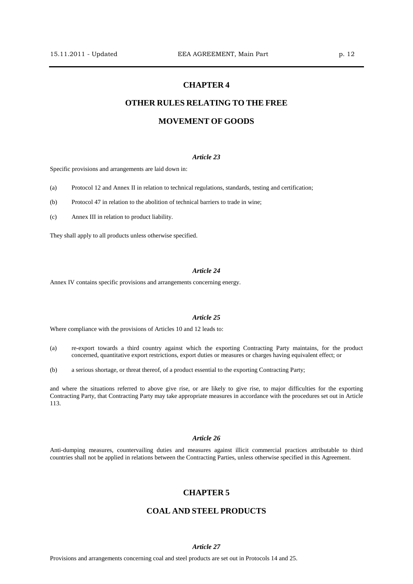# **CHAPTER 4**

# **OTHER RULES RELATING TO THE FREE**

# **MOVEMENT OF GOODS**

### *Article 23*

Specific provisions and arrangements are laid down in:

(a) Protocol 12 and Annex II in relation to technical regulations, standards, testing and certification;

(b) Protocol 47 in relation to the abolition of technical barriers to trade in wine;

(c) Annex III in relation to product liability.

They shall apply to all products unless otherwise specified.

### *Article 24*

Annex IV contains specific provisions and arrangements concerning energy.

# *Article 25*

Where compliance with the provisions of Articles 10 and 12 leads to:

- (a) re-export towards a third country against which the exporting Contracting Party maintains, for the product concerned, quantitative export restrictions, export duties or measures or charges having equivalent effect; or
- (b) a serious shortage, or threat thereof, of a product essential to the exporting Contracting Party;

and where the situations referred to above give rise, or are likely to give rise, to major difficulties for the exporting Contracting Party, that Contracting Party may take appropriate measures in accordance with the procedures set out in Article 113.

# *Article 26*

Anti-dumping measures, countervailing duties and measures against illicit commercial practices attributable to third countries shall not be applied in relations between the Contracting Parties, unless otherwise specified in this Agreement.

# **CHAPTER 5**

# **COAL AND STEEL PRODUCTS**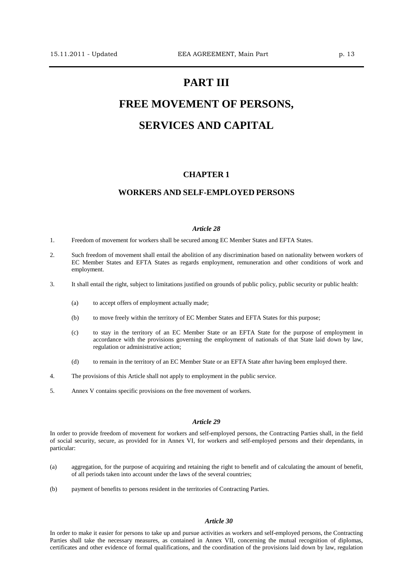# **PART III**

# **FREE MOVEMENT OF PERSONS, SERVICES AND CAPITAL**

# **CHAPTER 1**

# **WORKERS AND SELF-EMPLOYED PERSONS**

### *Article 28*

- 1. Freedom of movement for workers shall be secured among EC Member States and EFTA States.
- 2. Such freedom of movement shall entail the abolition of any discrimination based on nationality between workers of EC Member States and EFTA States as regards employment, remuneration and other conditions of work and employment.
- 3. It shall entail the right, subject to limitations justified on grounds of public policy, public security or public health:
	- (a) to accept offers of employment actually made;
	- (b) to move freely within the territory of EC Member States and EFTA States for this purpose;
	- (c) to stay in the territory of an EC Member State or an EFTA State for the purpose of employment in accordance with the provisions governing the employment of nationals of that State laid down by law, regulation or administrative action;
	- (d) to remain in the territory of an EC Member State or an EFTA State after having been employed there.
- 4. The provisions of this Article shall not apply to employment in the public service.
- 5. Annex V contains specific provisions on the free movement of workers.

### *Article 29*

In order to provide freedom of movement for workers and self-employed persons, the Contracting Parties shall, in the field of social security, secure, as provided for in Annex VI, for workers and self-employed persons and their dependants, in particular:

- (a) aggregation, for the purpose of acquiring and retaining the right to benefit and of calculating the amount of benefit, of all periods taken into account under the laws of the several countries;
- (b) payment of benefits to persons resident in the territories of Contracting Parties.

# *Article 30*

In order to make it easier for persons to take up and pursue activities as workers and self-employed persons, the Contracting Parties shall take the necessary measures, as contained in Annex VII, concerning the mutual recognition of diplomas, certificates and other evidence of formal qualifications, and the coordination of the provisions laid down by law, regulation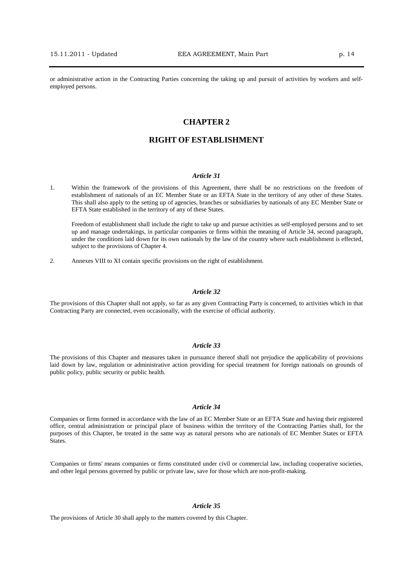or administrative action in the Contracting Parties concerning the taking up and pursuit of activities by workers and selfemployed persons.

# **CHAPTER 2**

# **RIGHT OF ESTABLISHMENT**

# *Article 31*

1. Within the framework of the provisions of this Agreement, there shall be no restrictions on the freedom of establishment of nationals of an EC Member State or an EFTA State in the territory of any other of these States. This shall also apply to the setting up of agencies, branches or subsidiaries by nationals of any EC Member State or EFTA State established in the territory of any of these States.

Freedom of establishment shall include the right to take up and pursue activities as self-employed persons and to set up and manage undertakings, in particular companies or firms within the meaning of Article 34, second paragraph, under the conditions laid down for its own nationals by the law of the country where such establishment is effected, subject to the provisions of Chapter 4.

2. Annexes VIII to XI contain specific provisions on the right of establishment.

#### *Article 32*

The provisions of this Chapter shall not apply, so far as any given Contracting Party is concerned, to activities which in that Contracting Party are connected, even occasionally, with the exercise of official authority.

### *Article 33*

The provisions of this Chapter and measures taken in pursuance thereof shall not prejudice the applicability of provisions laid down by law, regulation or administrative action providing for special treatment for foreign nationals on grounds of public policy, public security or public health.

### *Article 34*

Companies or firms formed in accordance with the law of an EC Member State or an EFTA State and having their registered office, central administration or principal place of business within the territory of the Contracting Parties shall, for the purposes of this Chapter, be treated in the same way as natural persons who are nationals of EC Member States or EFTA States.

'Companies or firms' means companies or firms constituted under civil or commercial law, including cooperative societies, and other legal persons governed by public or private law, save for those which are non-profit-making.

# *Article 35*

The provisions of Article 30 shall apply to the matters covered by this Chapter.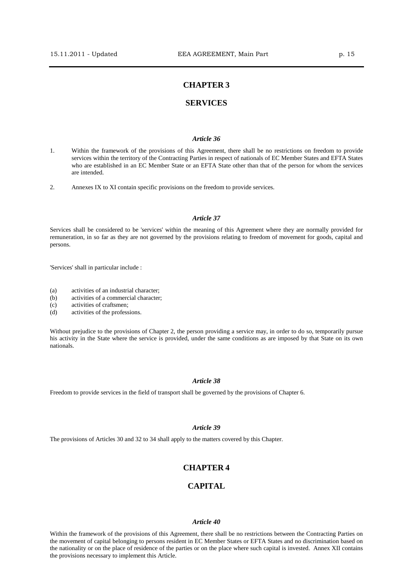# **CHAPTER 3**

# **SERVICES**

### *Article 36*

- 1. Within the framework of the provisions of this Agreement, there shall be no restrictions on freedom to provide services within the territory of the Contracting Parties in respect of nationals of EC Member States and EFTA States who are established in an EC Member State or an EFTA State other than that of the person for whom the services are intended.
- 2. Annexes IX to XI contain specific provisions on the freedom to provide services.

# *Article 37*

Services shall be considered to be 'services' within the meaning of this Agreement where they are normally provided for remuneration, in so far as they are not governed by the provisions relating to freedom of movement for goods, capital and persons.

'Services' shall in particular include :

- (a) activities of an industrial character;
- (b) activities of a commercial character;
- (c) activities of craftsmen;
- (d) activities of the professions.

Without prejudice to the provisions of Chapter 2, the person providing a service may, in order to do so, temporarily pursue his activity in the State where the service is provided, under the same conditions as are imposed by that State on its own nationals.

# *Article 38*

Freedom to provide services in the field of transport shall be governed by the provisions of Chapter 6.

# *Article 39*

The provisions of Articles 30 and 32 to 34 shall apply to the matters covered by this Chapter.

# **CHAPTER 4**

# **CAPITAL**

# *Article 40*

Within the framework of the provisions of this Agreement, there shall be no restrictions between the Contracting Parties on the movement of capital belonging to persons resident in EC Member States or EFTA States and no discrimination based on the nationality or on the place of residence of the parties or on the place where such capital is invested. Annex XII contains the provisions necessary to implement this Article.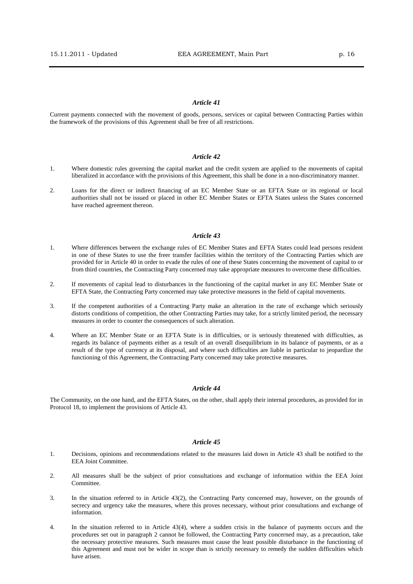Current payments connected with the movement of goods, persons, services or capital between Contracting Parties within the framework of the provisions of this Agreement shall be free of all restrictions.

### *Article 42*

- 1. Where domestic rules governing the capital market and the credit system are applied to the movements of capital liberalized in accordance with the provisions of this Agreement, this shall be done in a non-discriminatory manner.
- 2. Loans for the direct or indirect financing of an EC Member State or an EFTA State or its regional or local authorities shall not be issued or placed in other EC Member States or EFTA States unless the States concerned have reached agreement thereon.

### *Article 43*

- 1. Where differences between the exchange rules of EC Member States and EFTA States could lead persons resident in one of these States to use the freer transfer facilities within the territory of the Contracting Parties which are provided for in Article 40 in order to evade the rules of one of these States concerning the movement of capital to or from third countries, the Contracting Party concerned may take appropriate measures to overcome these difficulties.
- 2. If movements of capital lead to disturbances in the functioning of the capital market in any EC Member State or EFTA State, the Contracting Party concerned may take protective measures in the field of capital movements.
- 3. If the competent authorities of a Contracting Party make an alteration in the rate of exchange which seriously distorts conditions of competition, the other Contracting Parties may take, for a strictly limited period, the necessary measures in order to counter the consequences of such alteration.
- 4. Where an EC Member State or an EFTA State is in difficulties, or is seriously threatened with difficulties, as regards its balance of payments either as a result of an overall disequilibrium in its balance of payments, or as a result of the type of currency at its disposal, and where such difficulties are liable in particular to jeopardize the functioning of this Agreement, the Contracting Party concerned may take protective measures.

### *Article 44*

The Community, on the one hand, and the EFTA States, on the other, shall apply their internal procedures, as provided for in Protocol 18, to implement the provisions of Article 43.

- 1. Decisions, opinions and recommendations related to the measures laid down in Article 43 shall be notified to the EEA Joint Committee.
- 2. All measures shall be the subject of prior consultations and exchange of information within the EEA Joint Committee.
- 3. In the situation referred to in Article 43(2), the Contracting Party concerned may, however, on the grounds of secrecy and urgency take the measures, where this proves necessary, without prior consultations and exchange of information.
- 4. In the situation referred to in Article 43(4), where a sudden crisis in the balance of payments occurs and the procedures set out in paragraph 2 cannot be followed, the Contracting Party concerned may, as a precaution, take the necessary protective measures. Such measures must cause the least possible disturbance in the functioning of this Agreement and must not be wider in scope than is strictly necessary to remedy the sudden difficulties which have arisen.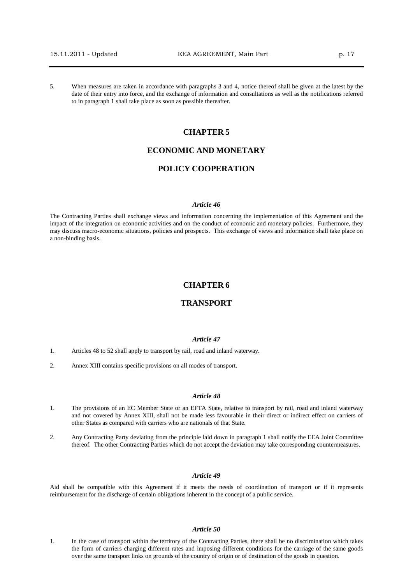5. When measures are taken in accordance with paragraphs 3 and 4, notice thereof shall be given at the latest by the date of their entry into force, and the exchange of information and consultations as well as the notifications referred to in paragraph 1 shall take place as soon as possible thereafter.

# **CHAPTER 5**

# **ECONOMIC AND MONETARY**

# **POLICY COOPERATION**

### *Article 46*

The Contracting Parties shall exchange views and information concerning the implementation of this Agreement and the impact of the integration on economic activities and on the conduct of economic and monetary policies. Furthermore, they may discuss macro-economic situations, policies and prospects. This exchange of views and information shall take place on a non-binding basis.

# **CHAPTER 6**

# **TRANSPORT**

### *Article 47*

- 1. Articles 48 to 52 shall apply to transport by rail, road and inland waterway.
- 2. Annex XIII contains specific provisions on all modes of transport.

## *Article 48*

- 1. The provisions of an EC Member State or an EFTA State, relative to transport by rail, road and inland waterway and not covered by Annex XIII, shall not be made less favourable in their direct or indirect effect on carriers of other States as compared with carriers who are nationals of that State.
- 2. Any Contracting Party deviating from the principle laid down in paragraph 1 shall notify the EEA Joint Committee thereof. The other Contracting Parties which do not accept the deviation may take corresponding countermeasures.

# *Article 49*

Aid shall be compatible with this Agreement if it meets the needs of coordination of transport or if it represents reimbursement for the discharge of certain obligations inherent in the concept of a public service.

# *Article 50*

1. In the case of transport within the territory of the Contracting Parties, there shall be no discrimination which takes the form of carriers charging different rates and imposing different conditions for the carriage of the same goods over the same transport links on grounds of the country of origin or of destination of the goods in question.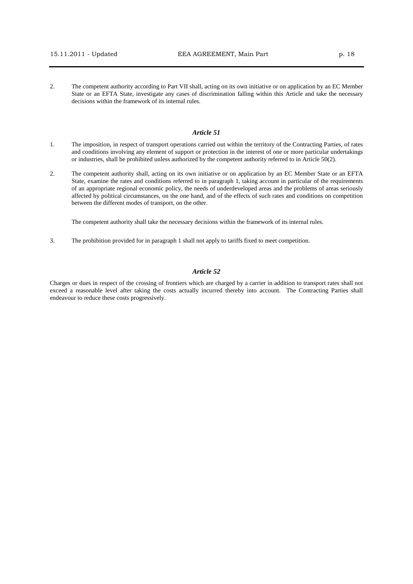2. The competent authority according to Part VII shall, acting on its own initiative or on application by an EC Member State or an EFTA State, investigate any cases of discrimination falling within this Article and take the necessary decisions within the framework of its internal rules.

# *Article 51*

- 1. The imposition, in respect of transport operations carried out within the territory of the Contracting Parties, of rates and conditions involving any element of support or protection in the interest of one or more particular undertakings or industries, shall be prohibited unless authorized by the competent authority referred to in Article 50(2).
- 2. The competent authority shall, acting on its own initiative or on application by an EC Member State or an EFTA State, examine the rates and conditions referred to in paragraph 1, taking account in particular of the requirements of an appropriate regional economic policy, the needs of underdeveloped areas and the problems of areas seriously affected by political circumstances, on the one hand, and of the effects of such rates and conditions on competition between the different modes of transport, on the other.

The competent authority shall take the necessary decisions within the framework of its internal rules.

3. The prohibition provided for in paragraph 1 shall not apply to tariffs fixed to meet competition.

# *Article 52*

Charges or dues in respect of the crossing of frontiers which are charged by a carrier in addition to transport rates shall not exceed a reasonable level after taking the costs actually incurred thereby into account. The Contracting Parties shall endeavour to reduce these costs progressively.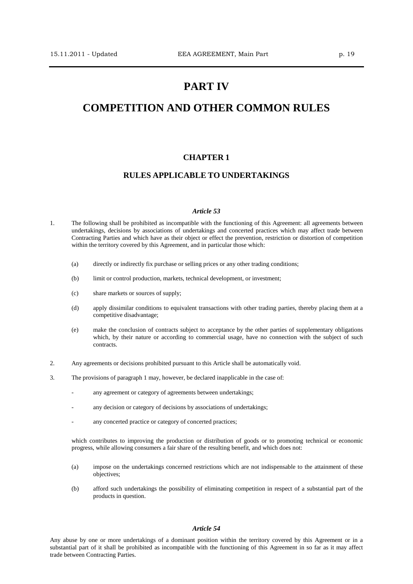# **PART IV**

# **COMPETITION AND OTHER COMMON RULES**

# **CHAPTER 1**

# **RULES APPLICABLE TO UNDERTAKINGS**

### *Article 53*

- 1. The following shall be prohibited as incompatible with the functioning of this Agreement: all agreements between undertakings, decisions by associations of undertakings and concerted practices which may affect trade between Contracting Parties and which have as their object or effect the prevention, restriction or distortion of competition within the territory covered by this Agreement, and in particular those which:
	- (a) directly or indirectly fix purchase or selling prices or any other trading conditions;
	- (b) limit or control production, markets, technical development, or investment;
	- (c) share markets or sources of supply;
	- (d) apply dissimilar conditions to equivalent transactions with other trading parties, thereby placing them at a competitive disadvantage;
	- (e) make the conclusion of contracts subject to acceptance by the other parties of supplementary obligations which, by their nature or according to commercial usage, have no connection with the subject of such contracts.
- 2. Any agreements or decisions prohibited pursuant to this Article shall be automatically void.
- 3. The provisions of paragraph 1 may, however, be declared inapplicable in the case of:
	- any agreement or category of agreements between undertakings;
	- any decision or category of decisions by associations of undertakings;
	- any concerted practice or category of concerted practices;

which contributes to improving the production or distribution of goods or to promoting technical or economic progress, while allowing consumers a fair share of the resulting benefit, and which does not:

- (a) impose on the undertakings concerned restrictions which are not indispensable to the attainment of these objectives;
- (b) afford such undertakings the possibility of eliminating competition in respect of a substantial part of the products in question.

# *Article 54*

Any abuse by one or more undertakings of a dominant position within the territory covered by this Agreement or in a substantial part of it shall be prohibited as incompatible with the functioning of this Agreement in so far as it may affect trade between Contracting Parties.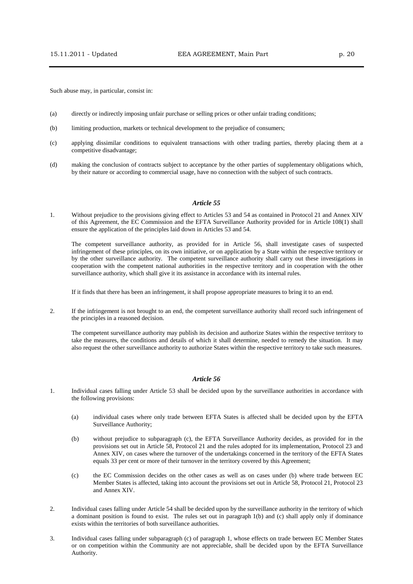Such abuse may, in particular, consist in:

- (a) directly or indirectly imposing unfair purchase or selling prices or other unfair trading conditions;
- (b) limiting production, markets or technical development to the prejudice of consumers;
- (c) applying dissimilar conditions to equivalent transactions with other trading parties, thereby placing them at a competitive disadvantage;
- (d) making the conclusion of contracts subject to acceptance by the other parties of supplementary obligations which, by their nature or according to commercial usage, have no connection with the subject of such contracts.

### *Article 55*

1. Without prejudice to the provisions giving effect to Articles 53 and 54 as contained in Protocol 21 and Annex XIV of this Agreement, the EC Commission and the EFTA Surveillance Authority provided for in Article 108(1) shall ensure the application of the principles laid down in Articles 53 and 54.

The competent surveillance authority, as provided for in Article 56, shall investigate cases of suspected infringement of these principles, on its own initiative, or on application by a State within the respective territory or by the other surveillance authority. The competent surveillance authority shall carry out these investigations in cooperation with the competent national authorities in the respective territory and in cooperation with the other surveillance authority, which shall give it its assistance in accordance with its internal rules.

If it finds that there has been an infringement, it shall propose appropriate measures to bring it to an end.

2. If the infringement is not brought to an end, the competent surveillance authority shall record such infringement of the principles in a reasoned decision.

The competent surveillance authority may publish its decision and authorize States within the respective territory to take the measures, the conditions and details of which it shall determine, needed to remedy the situation. It may also request the other surveillance authority to authorize States within the respective territory to take such measures.

- 1. Individual cases falling under Article 53 shall be decided upon by the surveillance authorities in accordance with the following provisions:
	- (a) individual cases where only trade between EFTA States is affected shall be decided upon by the EFTA Surveillance Authority;
	- (b) without prejudice to subparagraph (c), the EFTA Surveillance Authority decides, as provided for in the provisions set out in Article 58, Protocol 21 and the rules adopted for its implementation, Protocol 23 and Annex XIV, on cases where the turnover of the undertakings concerned in the territory of the EFTA States equals 33 per cent or more of their turnover in the territory covered by this Agreement;
	- (c) the EC Commission decides on the other cases as well as on cases under (b) where trade between EC Member States is affected, taking into account the provisions set out in Article 58, Protocol 21, Protocol 23 and Annex XIV.
- 2. Individual cases falling under Article 54 shall be decided upon by the surveillance authority in the territory of which a dominant position is found to exist. The rules set out in paragraph 1(b) and (c) shall apply only if dominance exists within the territories of both surveillance authorities.
- 3. Individual cases falling under subparagraph (c) of paragraph 1, whose effects on trade between EC Member States or on competition within the Community are not appreciable, shall be decided upon by the EFTA Surveillance Authority.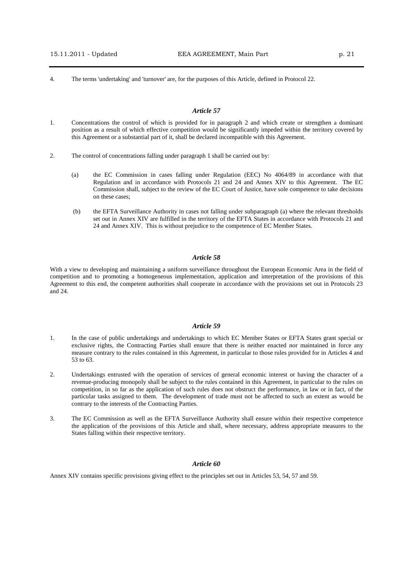4. The terms 'undertaking' and 'turnover' are, for the purposes of this Article, defined in Protocol 22.

# *Article 57*

- 1. Concentrations the control of which is provided for in paragraph 2 and which create or strengthen a dominant position as a result of which effective competition would be significantly impeded within the territory covered by this Agreement or a substantial part of it, shall be declared incompatible with this Agreement.
- 2. The control of concentrations falling under paragraph 1 shall be carried out by:
	- (a) the EC Commission in cases falling under Regulation (EEC) No 4064/89 in accordance with that Regulation and in accordance with Protocols 21 and 24 and Annex XIV to this Agreement. The EC Commission shall, subject to the review of the EC Court of Justice, have sole competence to take decisions on these cases;
	- (b) the EFTA Surveillance Authority in cases not falling under subparagraph (a) where the relevant thresholds set out in Annex XIV are fulfilled in the territory of the EFTA States in accordance with Protocols 21 and 24 and Annex XIV. This is without prejudice to the competence of EC Member States.

### *Article 58*

With a view to developing and maintaining a uniform surveillance throughout the European Economic Area in the field of competition and to promoting a homogeneous implementation, application and interpretation of the provisions of this Agreement to this end, the competent authorities shall cooperate in accordance with the provisions set out in Protocols 23 and 24.

### *Article 59*

- 1. In the case of public undertakings and undertakings to which EC Member States or EFTA States grant special or exclusive rights, the Contracting Parties shall ensure that there is neither enacted nor maintained in force any measure contrary to the rules contained in this Agreement, in particular to those rules provided for in Articles 4 and 53 to 63.
- 2. Undertakings entrusted with the operation of services of general economic interest or having the character of a revenue-producing monopoly shall be subject to the rules contained in this Agreement, in particular to the rules on competition, in so far as the application of such rules does not obstruct the performance, in law or in fact, of the particular tasks assigned to them. The development of trade must not be affected to such an extent as would be contrary to the interests of the Contracting Parties.
- 3. The EC Commission as well as the EFTA Surveillance Authority shall ensure within their respective competence the application of the provisions of this Article and shall, where necessary, address appropriate measures to the States falling within their respective territory.

### *Article 60*

Annex XIV contains specific provisions giving effect to the principles set out in Articles 53, 54, 57 and 59.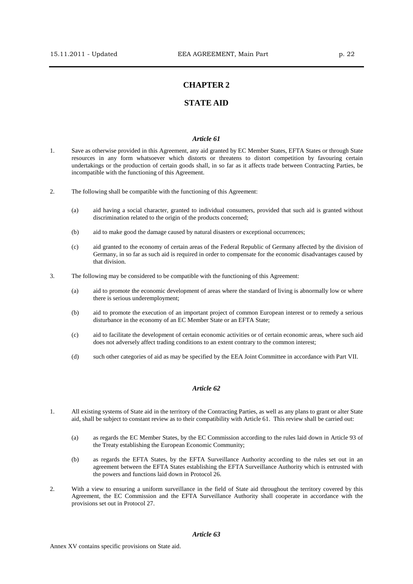# **CHAPTER 2**

# **STATE AID**

### *Article 61*

- 1. Save as otherwise provided in this Agreement, any aid granted by EC Member States, EFTA States or through State resources in any form whatsoever which distorts or threatens to distort competition by favouring certain undertakings or the production of certain goods shall, in so far as it affects trade between Contracting Parties, be incompatible with the functioning of this Agreement.
- 2. The following shall be compatible with the functioning of this Agreement:
	- (a) aid having a social character, granted to individual consumers, provided that such aid is granted without discrimination related to the origin of the products concerned;
	- (b) aid to make good the damage caused by natural disasters or exceptional occurrences;
	- (c) aid granted to the economy of certain areas of the Federal Republic of Germany affected by the division of Germany, in so far as such aid is required in order to compensate for the economic disadvantages caused by that division.
- 3. The following may be considered to be compatible with the functioning of this Agreement:
	- (a) aid to promote the economic development of areas where the standard of living is abnormally low or where there is serious underemployment;
	- (b) aid to promote the execution of an important project of common European interest or to remedy a serious disturbance in the economy of an EC Member State or an EFTA State;
	- (c) aid to facilitate the development of certain economic activities or of certain economic areas, where such aid does not adversely affect trading conditions to an extent contrary to the common interest;
	- (d) such other categories of aid as may be specified by the EEA Joint Committee in accordance with Part VII.

# *Article 62*

- 1. All existing systems of State aid in the territory of the Contracting Parties, as well as any plans to grant or alter State aid, shall be subject to constant review as to their compatibility with Article 61. This review shall be carried out:
	- (a) as regards the EC Member States, by the EC Commission according to the rules laid down in Article 93 of the Treaty establishing the European Economic Community;
	- (b) as regards the EFTA States, by the EFTA Surveillance Authority according to the rules set out in an agreement between the EFTA States establishing the EFTA Surveillance Authority which is entrusted with the powers and functions laid down in Protocol 26.
- 2. With a view to ensuring a uniform surveillance in the field of State aid throughout the territory covered by this Agreement, the EC Commission and the EFTA Surveillance Authority shall cooperate in accordance with the provisions set out in Protocol 27.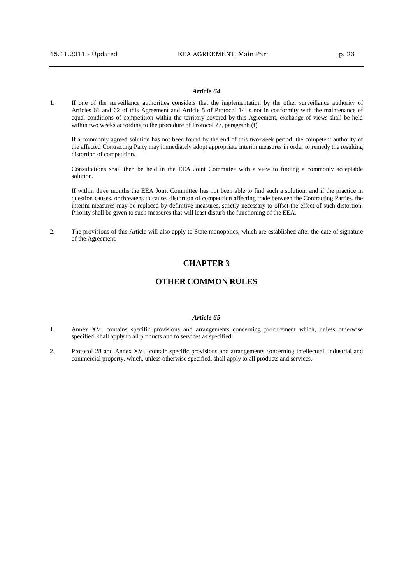1. If one of the surveillance authorities considers that the implementation by the other surveillance authority of Articles 61 and 62 of this Agreement and Article 5 of Protocol 14 is not in conformity with the maintenance of equal conditions of competition within the territory covered by this Agreement, exchange of views shall be held within two weeks according to the procedure of Protocol 27, paragraph (f).

If a commonly agreed solution has not been found by the end of this two-week period, the competent authority of the affected Contracting Party may immediately adopt appropriate interim measures in order to remedy the resulting distortion of competition.

Consultations shall then be held in the EEA Joint Committee with a view to finding a commonly acceptable solution.

If within three months the EEA Joint Committee has not been able to find such a solution, and if the practice in question causes, or threatens to cause, distortion of competition affecting trade between the Contracting Parties, the interim measures may be replaced by definitive measures, strictly necessary to offset the effect of such distortion. Priority shall be given to such measures that will least disturb the functioning of the EEA.

2. The provisions of this Article will also apply to State monopolies, which are established after the date of signature of the Agreement.

# **CHAPTER 3**

# **OTHER COMMON RULES**

- 1. Annex XVI contains specific provisions and arrangements concerning procurement which, unless otherwise specified, shall apply to all products and to services as specified.
- 2. Protocol 28 and Annex XVII contain specific provisions and arrangements concerning intellectual, industrial and commercial property, which, unless otherwise specified, shall apply to all products and services.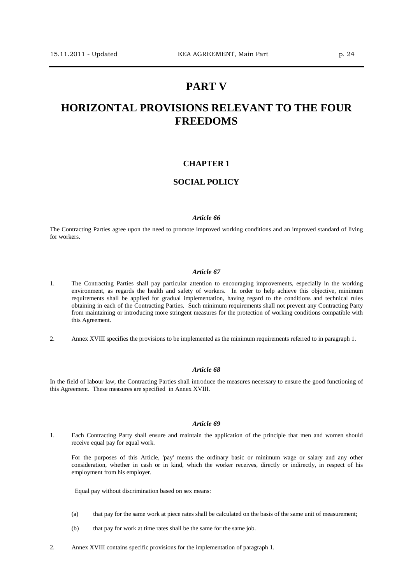# **PART V**

# **HORIZONTAL PROVISIONS RELEVANT TO THE FOUR FREEDOMS**

# **CHAPTER 1**

# **SOCIAL POLICY**

#### *Article 66*

The Contracting Parties agree upon the need to promote improved working conditions and an improved standard of living for workers.

# *Article 67*

- 1. The Contracting Parties shall pay particular attention to encouraging improvements, especially in the working environment, as regards the health and safety of workers. In order to help achieve this objective, minimum requirements shall be applied for gradual implementation, having regard to the conditions and technical rules obtaining in each of the Contracting Parties. Such minimum requirements shall not prevent any Contracting Party from maintaining or introducing more stringent measures for the protection of working conditions compatible with this Agreement.
- 2. Annex XVIII specifies the provisions to be implemented as the minimum requirements referred to in paragraph 1.

## *Article 68*

In the field of labour law, the Contracting Parties shall introduce the measures necessary to ensure the good functioning of this Agreement. These measures are specified in Annex XVIII.

### *Article 69*

1. Each Contracting Party shall ensure and maintain the application of the principle that men and women should receive equal pay for equal work.

For the purposes of this Article, 'pay' means the ordinary basic or minimum wage or salary and any other consideration, whether in cash or in kind, which the worker receives, directly or indirectly, in respect of his employment from his employer.

Equal pay without discrimination based on sex means:

- (a) that pay for the same work at piece rates shall be calculated on the basis of the same unit of measurement;
- (b) that pay for work at time rates shall be the same for the same job.
- 2. Annex XVIII contains specific provisions for the implementation of paragraph 1.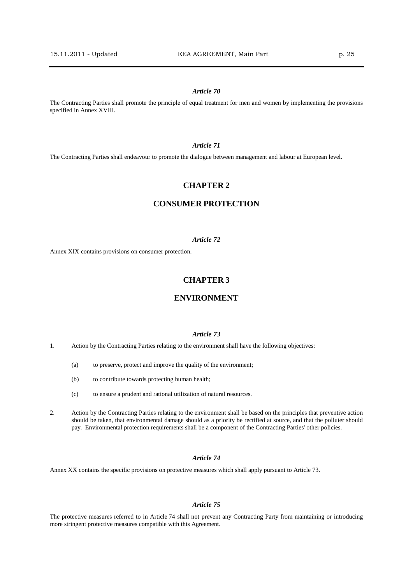The Contracting Parties shall promote the principle of equal treatment for men and women by implementing the provisions specified in Annex XVIII.

### *Article 71*

The Contracting Parties shall endeavour to promote the dialogue between management and labour at European level.

# **CHAPTER 2**

# **CONSUMER PROTECTION**

### *Article 72*

Annex XIX contains provisions on consumer protection.

# **CHAPTER 3**

# **ENVIRONMENT**

# *Article 73*

- 1. Action by the Contracting Parties relating to the environment shall have the following objectives:
	- (a) to preserve, protect and improve the quality of the environment;
	- (b) to contribute towards protecting human health;
	- (c) to ensure a prudent and rational utilization of natural resources.
- 2. Action by the Contracting Parties relating to the environment shall be based on the principles that preventive action should be taken, that environmental damage should as a priority be rectified at source, and that the polluter should pay. Environmental protection requirements shall be a component of the Contracting Parties' other policies.

## *Article 74*

Annex XX contains the specific provisions on protective measures which shall apply pursuant to Article 73.

# *Article 75*

The protective measures referred to in Article 74 shall not prevent any Contracting Party from maintaining or introducing more stringent protective measures compatible with this Agreement.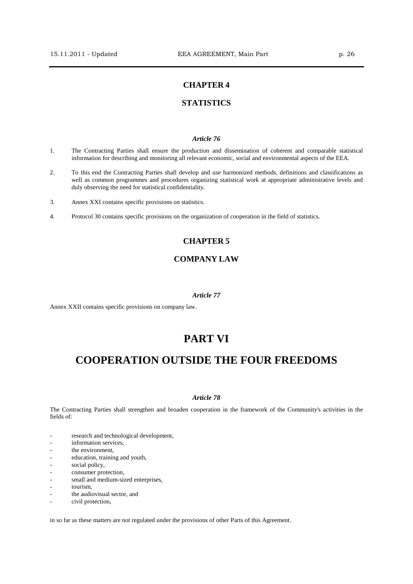# **CHAPTER 4**

# **STATISTICS**

### *Article 76*

- 1. The Contracting Parties shall ensure the production and dissemination of coherent and comparable statistical information for describing and monitoring all relevant economic, social and environmental aspects of the EEA.
- 2. To this end the Contracting Parties shall develop and use harmonized methods, definitions and classifications as well as common programmes and procedures organizing statistical work at appropriate administrative levels and duly observing the need for statistical confidentiality.
- 3. Annex XXI contains specific provisions on statistics.
- 4. Protocol 30 contains specific provisions on the organization of cooperation in the field of statistics.

# **CHAPTER 5**

# **COMPANY LAW**

### *Article 77*

Annex XXII contains specific provisions on company law.

# **PART VI**

# **COOPERATION OUTSIDE THE FOUR FREEDOMS**

# *Article 78*

The Contracting Parties shall strengthen and broaden cooperation in the framework of the Community's activities in the fields of:

- research and technological development,
- information services,
- the environment,
- education, training and youth,
- social policy,
- consumer protection,
- small and medium-sized enterprises,
- tourism,
- the audiovisual sector, and
- civil protection,

in so far as these matters are not regulated under the provisions of other Parts of this Agreement.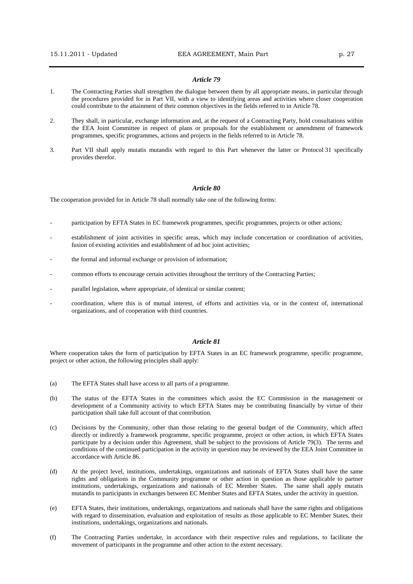- 1. The Contracting Parties shall strengthen the dialogue between them by all appropriate means, in particular through the procedures provided for in Part VII, with a view to identifying areas and activities where closer cooperation could contribute to the attainment of their common objectives in the fields referred to in Article 78.
- 2. They shall, in particular, exchange information and, at the request of a Contracting Party, hold consultations within the EEA Joint Committee in respect of plans or proposals for the establishment or amendment of framework programmes, specific programmes, actions and projects in the fields referred to in Article 78.
- 3. Part VII shall apply mutatis mutandis with regard to this Part whenever the latter or Protocol 31 specifically provides therefor.

#### *Article 80*

The cooperation provided for in Article 78 shall normally take one of the following forms:

- participation by EFTA States in EC framework programmes, specific programmes, projects or other actions;
- establishment of joint activities in specific areas, which may include concertation or coordination of activities, fusion of existing activities and establishment of ad hoc joint activities;
- the formal and informal exchange or provision of information;
- common efforts to encourage certain activities throughout the territory of the Contracting Parties;
- parallel legislation, where appropriate, of identical or similar content;
- coordination, where this is of mutual interest, of efforts and activities via, or in the context of, international organizations, and of cooperation with third countries.

### *Article 81*

Where cooperation takes the form of participation by EFTA States in an EC framework programme, specific programme, project or other action, the following principles shall apply:

- (a) The EFTA States shall have access to all parts of a programme.
- (b) The status of the EFTA States in the committees which assist the EC Commission in the management or development of a Community activity to which EFTA States may be contributing financially by virtue of their participation shall take full account of that contribution.
- (c) Decisions by the Community, other than those relating to the general budget of the Community, which affect directly or indirectly a framework programme, specific programme, project or other action, in which EFTA States participate by a decision under this Agreement, shall be subject to the provisions of Article 79(3). The terms and conditions of the continued participation in the activity in question may be reviewed by the EEA Joint Committee in accordance with Article 86.
- (d) At the project level, institutions, undertakings, organizations and nationals of EFTA States shall have the same rights and obligations in the Community programme or other action in question as those applicable to partner institutions, undertakings, organizations and nationals of EC Member States. The same shall apply mutatis mutandis to participants in exchanges between EC Member States and EFTA States, under the activity in question.
- (e) EFTA States, their institutions, undertakings, organizations and nationals shall have the same rights and obligations with regard to dissemination, evaluation and exploitation of results as those applicable to EC Member States, their institutions, undertakings, organizations and nationals.
- (f) The Contracting Parties undertake, in accordance with their respective rules and regulations, to facilitate the movement of participants in the programme and other action to the extent necessary.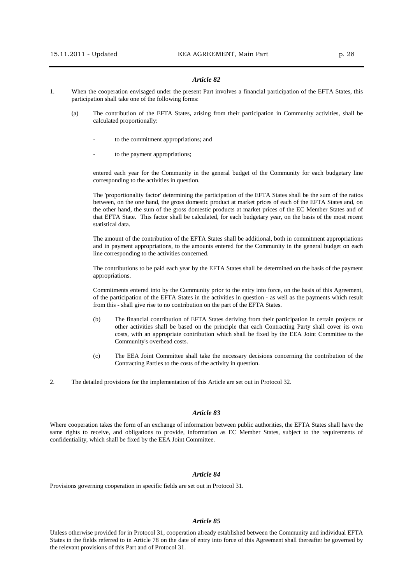- 1. When the cooperation envisaged under the present Part involves a financial participation of the EFTA States, this participation shall take one of the following forms:
	- (a) The contribution of the EFTA States, arising from their participation in Community activities, shall be calculated proportionally:
		- to the commitment appropriations; and
		- to the payment appropriations;

entered each year for the Community in the general budget of the Community for each budgetary line corresponding to the activities in question.

The 'proportionality factor' determining the participation of the EFTA States shall be the sum of the ratios between, on the one hand, the gross domestic product at market prices of each of the EFTA States and, on the other hand, the sum of the gross domestic products at market prices of the EC Member States and of that EFTA State. This factor shall be calculated, for each budgetary year, on the basis of the most recent statistical data.

The amount of the contribution of the EFTA States shall be additional, both in commitment appropriations and in payment appropriations, to the amounts entered for the Community in the general budget on each line corresponding to the activities concerned.

The contributions to be paid each year by the EFTA States shall be determined on the basis of the payment appropriations.

Commitments entered into by the Community prior to the entry into force, on the basis of this Agreement, of the participation of the EFTA States in the activities in question - as well as the payments which result from this - shall give rise to no contribution on the part of the EFTA States.

- (b) The financial contribution of EFTA States deriving from their participation in certain projects or other activities shall be based on the principle that each Contracting Party shall cover its own costs, with an appropriate contribution which shall be fixed by the EEA Joint Committee to the Community's overhead costs.
- (c) The EEA Joint Committee shall take the necessary decisions concerning the contribution of the Contracting Parties to the costs of the activity in question.
- 2. The detailed provisions for the implementation of this Article are set out in Protocol 32.

# *Article 83*

Where cooperation takes the form of an exchange of information between public authorities, the EFTA States shall have the same rights to receive, and obligations to provide, information as EC Member States, subject to the requirements of confidentiality, which shall be fixed by the EEA Joint Committee.

# *Article 84*

Provisions governing cooperation in specific fields are set out in Protocol 31.

# *Article 85*

Unless otherwise provided for in Protocol 31, cooperation already established between the Community and individual EFTA States in the fields referred to in Article 78 on the date of entry into force of this Agreement shall thereafter be governed by the relevant provisions of this Part and of Protocol 31.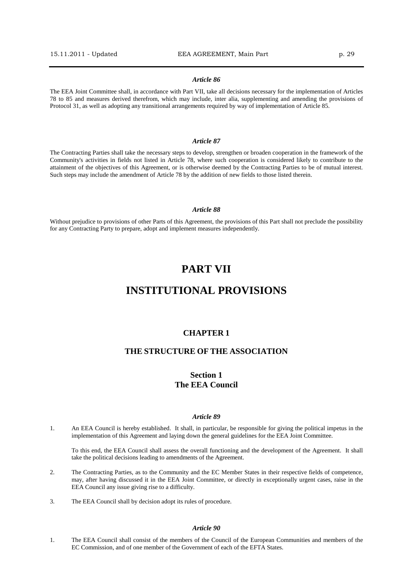The EEA Joint Committee shall, in accordance with Part VII, take all decisions necessary for the implementation of Articles 78 to 85 and measures derived therefrom, which may include, inter alia, supplementing and amending the provisions of Protocol 31, as well as adopting any transitional arrangements required by way of implementation of Article 85.

### *Article 87*

The Contracting Parties shall take the necessary steps to develop, strengthen or broaden cooperation in the framework of the Community's activities in fields not listed in Article 78, where such cooperation is considered likely to contribute to the attainment of the objectives of this Agreement, or is otherwise deemed by the Contracting Parties to be of mutual interest. Such steps may include the amendment of Article 78 by the addition of new fields to those listed therein.

### *Article 88*

Without prejudice to provisions of other Parts of this Agreement, the provisions of this Part shall not preclude the possibility for any Contracting Party to prepare, adopt and implement measures independently.

# **PART VII**

# **INSTITUTIONAL PROVISIONS**

# **CHAPTER 1**

# **THE STRUCTURE OF THE ASSOCIATION**

# **Section 1 The EEA Council**

### *Article 89*

1. An EEA Council is hereby established. It shall, in particular, be responsible for giving the political impetus in the implementation of this Agreement and laying down the general guidelines for the EEA Joint Committee.

To this end, the EEA Council shall assess the overall functioning and the development of the Agreement. It shall take the political decisions leading to amendments of the Agreement.

- 2. The Contracting Parties, as to the Community and the EC Member States in their respective fields of competence, may, after having discussed it in the EEA Joint Committee, or directly in exceptionally urgent cases, raise in the EEA Council any issue giving rise to a difficulty.
- 3. The EEA Council shall by decision adopt its rules of procedure.

# *Article 90*

1. The EEA Council shall consist of the members of the Council of the European Communities and members of the EC Commission, and of one member of the Government of each of the EFTA States.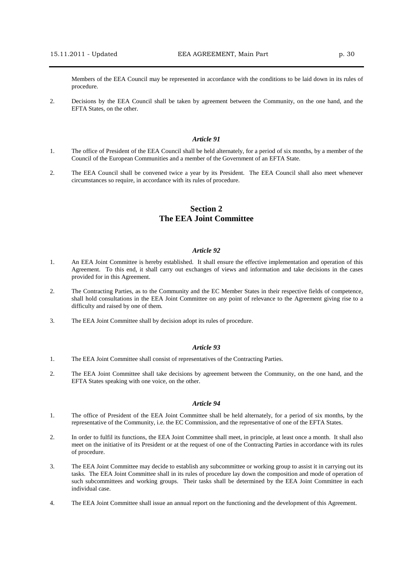Members of the EEA Council may be represented in accordance with the conditions to be laid down in its rules of procedure.

2. Decisions by the EEA Council shall be taken by agreement between the Community, on the one hand, and the EFTA States, on the other.

#### *Article 91*

- 1. The office of President of the EEA Council shall be held alternately, for a period of six months, by a member of the Council of the European Communities and a member of the Government of an EFTA State.
- 2. The EEA Council shall be convened twice a year by its President. The EEA Council shall also meet whenever circumstances so require, in accordance with its rules of procedure.

# **Section 2 The EEA Joint Committee**

### *Article 92*

- 1. An EEA Joint Committee is hereby established. It shall ensure the effective implementation and operation of this Agreement. To this end, it shall carry out exchanges of views and information and take decisions in the cases provided for in this Agreement.
- 2. The Contracting Parties, as to the Community and the EC Member States in their respective fields of competence, shall hold consultations in the EEA Joint Committee on any point of relevance to the Agreement giving rise to a difficulty and raised by one of them.
- 3. The EEA Joint Committee shall by decision adopt its rules of procedure.

# *Article 93*

- 1. The EEA Joint Committee shall consist of representatives of the Contracting Parties.
- 2. The EEA Joint Committee shall take decisions by agreement between the Community, on the one hand, and the EFTA States speaking with one voice, on the other.

- 1. The office of President of the EEA Joint Committee shall be held alternately, for a period of six months, by the representative of the Community, i.e. the EC Commission, and the representative of one of the EFTA States.
- 2. In order to fulfil its functions, the EEA Joint Committee shall meet, in principle, at least once a month. It shall also meet on the initiative of its President or at the request of one of the Contracting Parties in accordance with its rules of procedure.
- 3. The EEA Joint Committee may decide to establish any subcommittee or working group to assist it in carrying out its tasks. The EEA Joint Committee shall in its rules of procedure lay down the composition and mode of operation of such subcommittees and working groups. Their tasks shall be determined by the EEA Joint Committee in each individual case.
- 4. The EEA Joint Committee shall issue an annual report on the functioning and the development of this Agreement.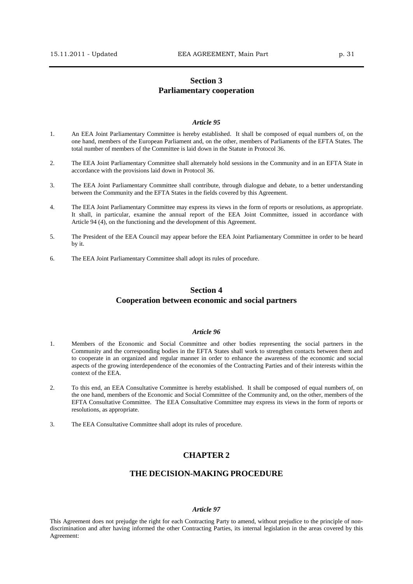# **Section 3 Parliamentary cooperation**

#### *Article 95*

- 1. An EEA Joint Parliamentary Committee is hereby established. It shall be composed of equal numbers of, on the one hand, members of the European Parliament and, on the other, members of Parliaments of the EFTA States. The total number of members of the Committee is laid down in the Statute in Protocol 36.
- 2. The EEA Joint Parliamentary Committee shall alternately hold sessions in the Community and in an EFTA State in accordance with the provisions laid down in Protocol 36.
- 3. The EEA Joint Parliamentary Committee shall contribute, through dialogue and debate, to a better understanding between the Community and the EFTA States in the fields covered by this Agreement.
- 4. The EEA Joint Parliamentary Committee may express its views in the form of reports or resolutions, as appropriate. It shall, in particular, examine the annual report of the EEA Joint Committee, issued in accordance with Article 94 (4), on the functioning and the development of this Agreement.
- 5. The President of the EEA Council may appear before the EEA Joint Parliamentary Committee in order to be heard by it.
- 6. The EEA Joint Parliamentary Committee shall adopt its rules of procedure.

# **Section 4 Cooperation between economic and social partners**

# *Article 96*

- 1. Members of the Economic and Social Committee and other bodies representing the social partners in the Community and the corresponding bodies in the EFTA States shall work to strengthen contacts between them and to cooperate in an organized and regular manner in order to enhance the awareness of the economic and social aspects of the growing interdependence of the economies of the Contracting Parties and of their interests within the context of the EEA.
- 2. To this end, an EEA Consultative Committee is hereby established. It shall be composed of equal numbers of, on the one hand, members of the Economic and Social Committee of the Community and, on the other, members of the EFTA Consultative Committee. The EEA Consultative Committee may express its views in the form of reports or resolutions, as appropriate.
- 3. The EEA Consultative Committee shall adopt its rules of procedure.

# **CHAPTER 2**

# **THE DECISION-MAKING PROCEDURE**

#### *Article 97*

This Agreement does not prejudge the right for each Contracting Party to amend, without prejudice to the principle of nondiscrimination and after having informed the other Contracting Parties, its internal legislation in the areas covered by this Agreement: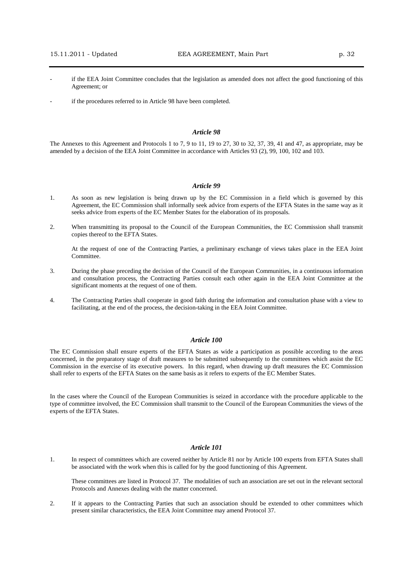- if the EEA Joint Committee concludes that the legislation as amended does not affect the good functioning of this Agreement; or
- if the procedures referred to in Article 98 have been completed.

The Annexes to this Agreement and Protocols 1 to 7, 9 to 11, 19 to 27, 30 to 32, 37, 39, 41 and 47, as appropriate, may be amended by a decision of the EEA Joint Committee in accordance with Articles 93 (2), 99, 100, 102 and 103.

### *Article 99*

- 1. As soon as new legislation is being drawn up by the EC Commission in a field which is governed by this Agreement, the EC Commission shall informally seek advice from experts of the EFTA States in the same way as it seeks advice from experts of the EC Member States for the elaboration of its proposals.
- 2. When transmitting its proposal to the Council of the European Communities, the EC Commission shall transmit copies thereof to the EFTA States.

At the request of one of the Contracting Parties, a preliminary exchange of views takes place in the EEA Joint Committee.

- 3. During the phase preceding the decision of the Council of the European Communities, in a continuous information and consultation process, the Contracting Parties consult each other again in the EEA Joint Committee at the significant moments at the request of one of them.
- 4. The Contracting Parties shall cooperate in good faith during the information and consultation phase with a view to facilitating, at the end of the process, the decision-taking in the EEA Joint Committee.

# *Article 100*

The EC Commission shall ensure experts of the EFTA States as wide a participation as possible according to the areas concerned, in the preparatory stage of draft measures to be submitted subsequently to the committees which assist the EC Commission in the exercise of its executive powers. In this regard, when drawing up draft measures the EC Commission shall refer to experts of the EFTA States on the same basis as it refers to experts of the EC Member States.

In the cases where the Council of the European Communities is seized in accordance with the procedure applicable to the type of committee involved, the EC Commission shall transmit to the Council of the European Communities the views of the experts of the EFTA States.

### *Article 101*

1. In respect of committees which are covered neither by Article 81 nor by Article 100 experts from EFTA States shall be associated with the work when this is called for by the good functioning of this Agreement.

These committees are listed in Protocol 37. The modalities of such an association are set out in the relevant sectoral Protocols and Annexes dealing with the matter concerned.

2. If it appears to the Contracting Parties that such an association should be extended to other committees which present similar characteristics, the EEA Joint Committee may amend Protocol 37.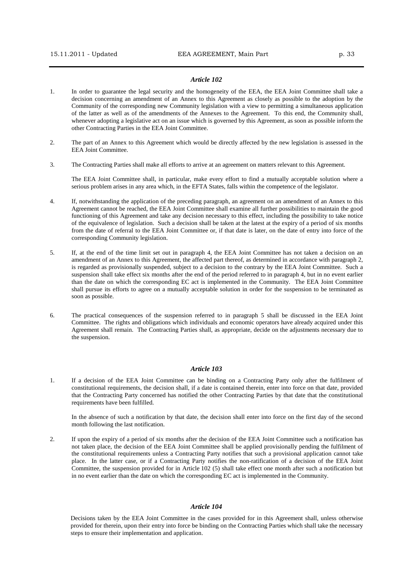- 1. In order to guarantee the legal security and the homogeneity of the EEA, the EEA Joint Committee shall take a decision concerning an amendment of an Annex to this Agreement as closely as possible to the adoption by the Community of the corresponding new Community legislation with a view to permitting a simultaneous application of the latter as well as of the amendments of the Annexes to the Agreement. To this end, the Community shall, whenever adopting a legislative act on an issue which is governed by this Agreement, as soon as possible inform the other Contracting Parties in the EEA Joint Committee.
- 2. The part of an Annex to this Agreement which would be directly affected by the new legislation is assessed in the EEA Joint Committee.
- 3. The Contracting Parties shall make all efforts to arrive at an agreement on matters relevant to this Agreement.

The EEA Joint Committee shall, in particular, make every effort to find a mutually acceptable solution where a serious problem arises in any area which, in the EFTA States, falls within the competence of the legislator.

- 4. If, notwithstanding the application of the preceding paragraph, an agreement on an amendment of an Annex to this Agreement cannot be reached, the EEA Joint Committee shall examine all further possibilities to maintain the good functioning of this Agreement and take any decision necessary to this effect, including the possibility to take notice of the equivalence of legislation. Such a decision shall be taken at the latest at the expiry of a period of six months from the date of referral to the EEA Joint Committee or, if that date is later, on the date of entry into force of the corresponding Community legislation.
- 5. If, at the end of the time limit set out in paragraph 4, the EEA Joint Committee has not taken a decision on an amendment of an Annex to this Agreement, the affected part thereof, as determined in accordance with paragraph 2, is regarded as provisionally suspended, subject to a decision to the contrary by the EEA Joint Committee. Such a suspension shall take effect six months after the end of the period referred to in paragraph 4, but in no event earlier than the date on which the corresponding EC act is implemented in the Community. The EEA Joint Committee shall pursue its efforts to agree on a mutually acceptable solution in order for the suspension to be terminated as soon as possible.
- 6. The practical consequences of the suspension referred to in paragraph 5 shall be discussed in the EEA Joint Committee. The rights and obligations which individuals and economic operators have already acquired under this Agreement shall remain. The Contracting Parties shall, as appropriate, decide on the adjustments necessary due to the suspension.

### *Article 103*

1. If a decision of the EEA Joint Committee can be binding on a Contracting Party only after the fulfilment of constitutional requirements, the decision shall, if a date is contained therein, enter into force on that date, provided that the Contracting Party concerned has notified the other Contracting Parties by that date that the constitutional requirements have been fulfilled.

In the absence of such a notification by that date, the decision shall enter into force on the first day of the second month following the last notification.

2. If upon the expiry of a period of six months after the decision of the EEA Joint Committee such a notification has not taken place, the decision of the EEA Joint Committee shall be applied provisionally pending the fulfilment of the constitutional requirements unless a Contracting Party notifies that such a provisional application cannot take place. In the latter case, or if a Contracting Party notifies the non-ratification of a decision of the EEA Joint Committee, the suspension provided for in Article 102 (5) shall take effect one month after such a notification but in no event earlier than the date on which the corresponding EC act is implemented in the Community.

# *Article 104*

Decisions taken by the EEA Joint Committee in the cases provided for in this Agreement shall, unless otherwise provided for therein, upon their entry into force be binding on the Contracting Parties which shall take the necessary steps to ensure their implementation and application.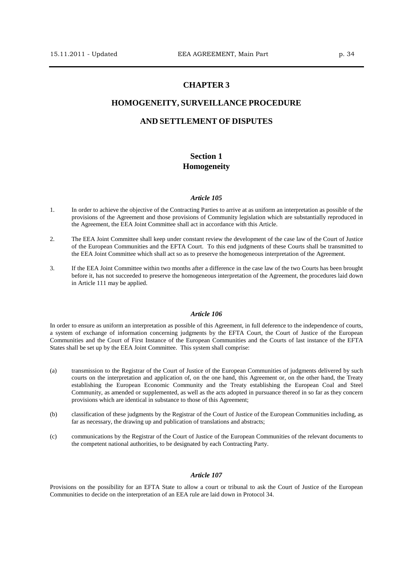# **CHAPTER 3**

# **HOMOGENEITY, SURVEILLANCE PROCEDURE**

# **AND SETTLEMENT OF DISPUTES**

# **Section 1 Homogeneity**

### *Article 105*

- 1. In order to achieve the objective of the Contracting Parties to arrive at as uniform an interpretation as possible of the provisions of the Agreement and those provisions of Community legislation which are substantially reproduced in the Agreement, the EEA Joint Committee shall act in accordance with this Article.
- 2. The EEA Joint Committee shall keep under constant review the development of the case law of the Court of Justice of the European Communities and the EFTA Court. To this end judgments of these Courts shall be transmitted to the EEA Joint Committee which shall act so as to preserve the homogeneous interpretation of the Agreement.
- 3. If the EEA Joint Committee within two months after a difference in the case law of the two Courts has been brought before it, has not succeeded to preserve the homogeneous interpretation of the Agreement, the procedures laid down in Article 111 may be applied.

### *Article 106*

In order to ensure as uniform an interpretation as possible of this Agreement, in full deference to the independence of courts, a system of exchange of information concerning judgments by the EFTA Court, the Court of Justice of the European Communities and the Court of First Instance of the European Communities and the Courts of last instance of the EFTA States shall be set up by the EEA Joint Committee. This system shall comprise:

- (a) transmission to the Registrar of the Court of Justice of the European Communities of judgments delivered by such courts on the interpretation and application of, on the one hand, this Agreement or, on the other hand, the Treaty establishing the European Economic Community and the Treaty establishing the European Coal and Steel Community, as amended or supplemented, as well as the acts adopted in pursuance thereof in so far as they concern provisions which are identical in substance to those of this Agreement;
- (b) classification of these judgments by the Registrar of the Court of Justice of the European Communities including, as far as necessary, the drawing up and publication of translations and abstracts;
- (c) communications by the Registrar of the Court of Justice of the European Communities of the relevant documents to the competent national authorities, to be designated by each Contracting Party.

# *Article 107*

Provisions on the possibility for an EFTA State to allow a court or tribunal to ask the Court of Justice of the European Communities to decide on the interpretation of an EEA rule are laid down in Protocol 34.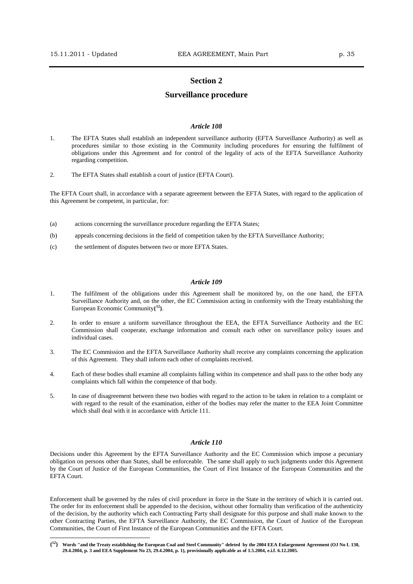<span id="page-34-0"></span>-

# **Section 2**

# **Surveillance procedure**

### *Article 108*

- 1. The EFTA States shall establish an independent surveillance authority (EFTA Surveillance Authority) as well as procedures similar to those existing in the Community including procedures for ensuring the fulfilment of obligations under this Agreement and for control of the legality of acts of the EFTA Surveillance Authority regarding competition.
- 2. The EFTA States shall establish a court of justice (EFTA Court).

The EFTA Court shall, in accordance with a separate agreement between the EFTA States, with regard to the application of this Agreement be competent, in particular, for:

- (a) actions concerning the surveillance procedure regarding the EFTA States;
- (b) appeals concerning decisions in the field of competition taken by the EFTA Surveillance Authority;
- (c) the settlement of disputes between two or more EFTA States.

#### *Article 109*

- 1. The fulfilment of the obligations under this Agreement shall be monitored by, on the one hand, the EFTA Surveillance Authority and, on the other, the EC Commission acting in conformity with the Treaty establishing the European Economic Community**{[12}](#page-7-0)**.
- 2. In order to ensure a uniform surveillance throughout the EEA, the EFTA Surveillance Authority and the EC Commission shall cooperate, exchange information and consult each other on surveillance policy issues and individual cases.
- 3. The EC Commission and the EFTA Surveillance Authority shall receive any complaints concerning the application of this Agreement. They shall inform each other of complaints received.
- 4. Each of these bodies shall examine all complaints falling within its competence and shall pass to the other body any complaints which fall within the competence of that body.
- 5. In case of disagreement between these two bodies with regard to the action to be taken in relation to a complaint or with regard to the result of the examination, either of the bodies may refer the matter to the EEA Joint Committee which shall deal with it in accordance with Article 111.

### *Article 110*

Decisions under this Agreement by the EFTA Surveillance Authority and the EC Commission which impose a pecuniary obligation on persons other than States, shall be enforceable. The same shall apply to such judgments under this Agreement by the Court of Justice of the European Communities, the Court of First Instance of the European Communities and the EFTA Court.

Enforcement shall be governed by the rules of civil procedure in force in the State in the territory of which it is carried out. The order for its enforcement shall be appended to the decision, without other formality than verification of the authenticity of the decision, by the authority which each Contracting Party shall designate for this purpose and shall make known to the other Contracting Parties, the EFTA Surveillance Authority, the EC Commission, the Court of Justice of the European Communities, the Court of First Instance of the European Communities and the EFTA Court.

**<sup>{</sup> 12} Words "and the Treaty establishing the European Coal and Steel Community" deleted by the 2004 EEA Enlargement Agreement (OJ No L 130, 29.4.2004, p. 3 and EEA Supplement No 23, 29.4.2004, p. 1), provisionally applicable as of 1.5.2004, e.i.f. 6.12.2005.**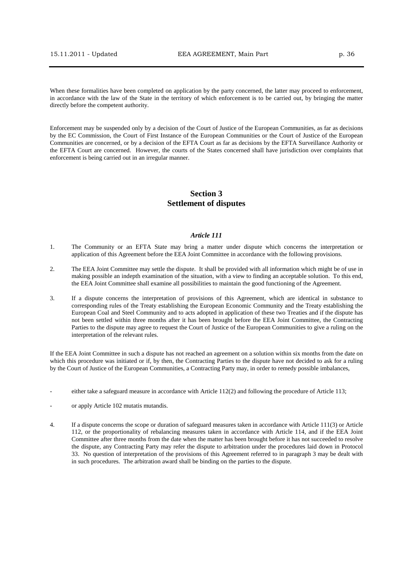When these formalities have been completed on application by the party concerned, the latter may proceed to enforcement, in accordance with the law of the State in the territory of which enforcement is to be carried out, by bringing the matter directly before the competent authority.

Enforcement may be suspended only by a decision of the Court of Justice of the European Communities, as far as decisions by the EC Commission, the Court of First Instance of the European Communities or the Court of Justice of the European Communities are concerned, or by a decision of the EFTA Court as far as decisions by the EFTA Surveillance Authority or the EFTA Court are concerned. However, the courts of the States concerned shall have jurisdiction over complaints that enforcement is being carried out in an irregular manner.

# **Section 3 Settlement of disputes**

### *Article 111*

- 1. The Community or an EFTA State may bring a matter under dispute which concerns the interpretation or application of this Agreement before the EEA Joint Committee in accordance with the following provisions.
- 2. The EEA Joint Committee may settle the dispute. It shall be provided with all information which might be of use in making possible an indepth examination of the situation, with a view to finding an acceptable solution. To this end, the EEA Joint Committee shall examine all possibilities to maintain the good functioning of the Agreement.
- 3. If a dispute concerns the interpretation of provisions of this Agreement, which are identical in substance to corresponding rules of the Treaty establishing the European Economic Community and the Treaty establishing the European Coal and Steel Community and to acts adopted in application of these two Treaties and if the dispute has not been settled within three months after it has been brought before the EEA Joint Committee, the Contracting Parties to the dispute may agree to request the Court of Justice of the European Communities to give a ruling on the interpretation of the relevant rules.

If the EEA Joint Committee in such a dispute has not reached an agreement on a solution within six months from the date on which this procedure was initiated or if, by then, the Contracting Parties to the dispute have not decided to ask for a ruling by the Court of Justice of the European Communities, a Contracting Party may, in order to remedy possible imbalances,

- either take a safeguard measure in accordance with Article 112(2) and following the procedure of Article 113;
- or apply Article 102 mutatis mutandis.
- 4. If a dispute concerns the scope or duration of safeguard measures taken in accordance with Article 111(3) or Article 112, or the proportionality of rebalancing measures taken in accordance with Article 114, and if the EEA Joint Committee after three months from the date when the matter has been brought before it has not succeeded to resolve the dispute, any Contracting Party may refer the dispute to arbitration under the procedures laid down in Protocol 33. No question of interpretation of the provisions of this Agreement referred to in paragraph 3 may be dealt with in such procedures. The arbitration award shall be binding on the parties to the dispute.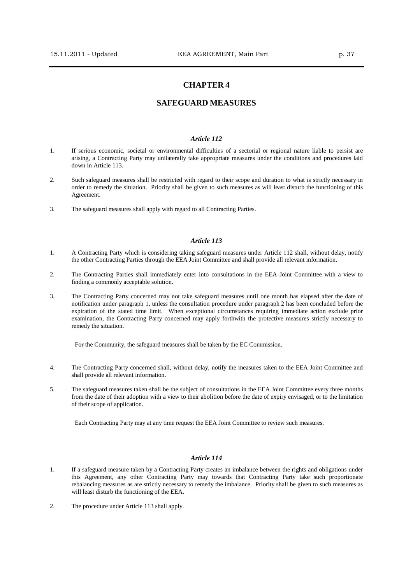# **CHAPTER 4**

# **SAFEGUARD MEASURES**

### *Article 112*

- 1. If serious economic, societal or environmental difficulties of a sectorial or regional nature liable to persist are arising, a Contracting Party may unilaterally take appropriate measures under the conditions and procedures laid down in Article 113.
- 2. Such safeguard measures shall be restricted with regard to their scope and duration to what is strictly necessary in order to remedy the situation. Priority shall be given to such measures as will least disturb the functioning of this Agreement.
- 3. The safeguard measures shall apply with regard to all Contracting Parties.

# *Article 113*

- 1. A Contracting Party which is considering taking safeguard measures under Article 112 shall, without delay, notify the other Contracting Parties through the EEA Joint Committee and shall provide all relevant information.
- 2. The Contracting Parties shall immediately enter into consultations in the EEA Joint Committee with a view to finding a commonly acceptable solution.
- 3. The Contracting Party concerned may not take safeguard measures until one month has elapsed after the date of notification under paragraph 1, unless the consultation procedure under paragraph 2 has been concluded before the expiration of the stated time limit. When exceptional circumstances requiring immediate action exclude prior examination, the Contracting Party concerned may apply forthwith the protective measures strictly necessary to remedy the situation.

For the Community, the safeguard measures shall be taken by the EC Commission.

- 4. The Contracting Party concerned shall, without delay, notify the measures taken to the EEA Joint Committee and shall provide all relevant information.
- 5. The safeguard measures taken shall be the subject of consultations in the EEA Joint Committee every three months from the date of their adoption with a view to their abolition before the date of expiry envisaged, or to the limitation of their scope of application.

Each Contracting Party may at any time request the EEA Joint Committee to review such measures.

- 1. If a safeguard measure taken by a Contracting Party creates an imbalance between the rights and obligations under this Agreement, any other Contracting Party may towards that Contracting Party take such proportionate rebalancing measures as are strictly necessary to remedy the imbalance. Priority shall be given to such measures as will least disturb the functioning of the EEA.
- 2. The procedure under Article 113 shall apply.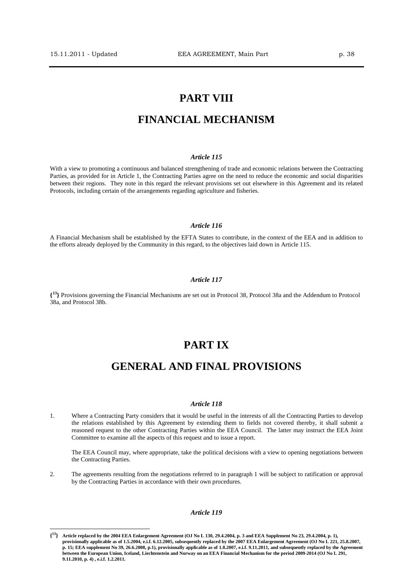-

# **PART VIII**

# **FINANCIAL MECHANISM**

### *Article 115*

With a view to promoting a continuous and balanced strengthening of trade and economic relations between the Contracting Parties, as provided for in Article 1, the Contracting Parties agree on the need to reduce the economic and social disparities between their regions. They note in this regard the relevant provisions set out elsewhere in this Agreement and its related Protocols, including certain of the arrangements regarding agriculture and fisheries.

## *Article 116*

A Financial Mechanism shall be established by the EFTA States to contribute, in the context of the EEA and in addition to the efforts already deployed by the Community in this regard, to the objectives laid down in Article 115.

# *Article 117*

**{[13](#page-34-0)}** Provisions governing the Financial Mechanisms are set out in Protocol 38, Protocol 38a and the Addendum to Protocol 38a, and Protocol 38b.

# **PART IX**

# **GENERAL AND FINAL PROVISIONS**

### *Article 118*

1. Where a Contracting Party considers that it would be useful in the interests of all the Contracting Parties to develop the relations established by this Agreement by extending them to fields not covered thereby, it shall submit a reasoned request to the other Contracting Parties within the EEA Council. The latter may instruct the EEA Joint Committee to examine all the aspects of this request and to issue a report.

The EEA Council may, where appropriate, take the political decisions with a view to opening negotiations between the Contracting Parties.

2. The agreements resulting from the negotiations referred to in paragraph 1 will be subject to ratification or approval by the Contracting Parties in accordance with their own procedures.

<span id="page-37-0"></span>**<sup>{</sup> 13} Article replaced by the 2004 EEA Enlargement Agreement (OJ No L 130, 29.4.2004, p. 3 and EEA Supplement No 23, 29.4.2004, p. 1), provisionally applicable as of 1.5.2004, e.i.f. 6.12.2005, subsequently replaced by the 2007 EEA Enlargement Agreement (OJ No L 221, 25.8.2007, p. 15; EEA supplement No 39, 26.6.2008, p.1), provisionally applicable as of 1.8.2007, e.i.f. 9.11.2011, and subsequently replaced by the Agreement between the European Union, Iceland, Liechtenstein and Norway on an EEA Financial Mechanism for the period 2009-2014 (OJ No L 291, 9.11.2010, p. 4) , e.i.f. 1.2.2011.**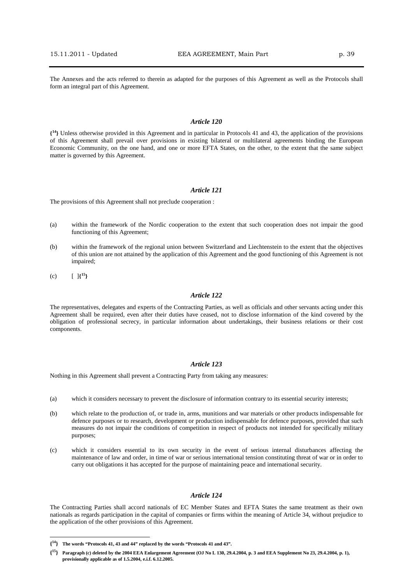The Annexes and the acts referred to therein as adapted for the purposes of this Agreement as well as the Protocols shall form an integral part of this Agreement.

### *Article 120*

**{[14](#page-37-0)}** Unless otherwise provided in this Agreement and in particular in Protocols 41 and 43, the application of the provisions of this Agreement shall prevail over provisions in existing bilateral or multilateral agreements binding the European Economic Community, on the one hand, and one or more EFTA States, on the other, to the extent that the same subject matter is governed by this Agreement.

#### *Article 121*

The provisions of this Agreement shall not preclude cooperation :

- (a) within the framework of the Nordic cooperation to the extent that such cooperation does not impair the good functioning of this Agreement;
- (b) within the framework of the regional union between Switzerland and Liechtenstein to the extent that the objectives of this union are not attained by the application of this Agreement and the good functioning of this Agreement is not impaired;
- (c) [ ]**{[15](#page-38-0)}**

-

### *Article 122*

The representatives, delegates and experts of the Contracting Parties, as well as officials and other servants acting under this Agreement shall be required, even after their duties have ceased, not to disclose information of the kind covered by the obligation of professional secrecy, in particular information about undertakings, their business relations or their cost components.

### *Article 123*

Nothing in this Agreement shall prevent a Contracting Party from taking any measures:

- (a) which it considers necessary to prevent the disclosure of information contrary to its essential security interests;
- (b) which relate to the production of, or trade in, arms, munitions and war materials or other products indispensable for defence purposes or to research, development or production indispensable for defence purposes, provided that such measures do not impair the conditions of competition in respect of products not intended for specifically military purposes;
- (c) which it considers essential to its own security in the event of serious internal disturbances affecting the maintenance of law and order, in time of war or serious international tension constituting threat of war or in order to carry out obligations it has accepted for the purpose of maintaining peace and international security.

# *Article 124*

<span id="page-38-1"></span>The Contracting Parties shall accord nationals of EC Member States and EFTA States the same treatment as their own nationals as regards participation in the capital of companies or firms within the meaning of Article 34, without prejudice to the application of the other provisions of this Agreement.

**<sup>{</sup> 14} The words "Protocols 41, 43 and 44" replaced by the words "Protocols 41 and 43".**

<span id="page-38-0"></span>**<sup>{</sup> 15} Paragraph (c) deleted by the 2004 EEA Enlargement Agreement (OJ No L 130, 29.4.2004, p. 3 and EEA Supplement No 23, 29.4.2004, p. 1), provisionally applicable as of 1.5.2004, e.i.f. 6.12.2005.**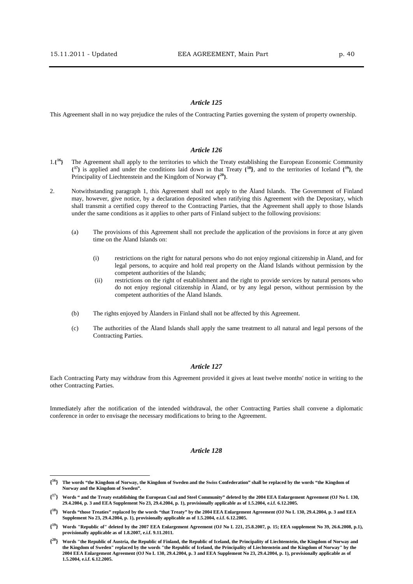-

# *Article 125*

This Agreement shall in no way prejudice the rules of the Contracting Parties governing the system of property ownership.

# *Article 126*

- 1.**{[16}](#page-38-1)** The Agreement shall apply to the territories to which the Treaty establishing the European Economic Community **{[17](#page-39-0)}** is applied and under the conditions laid down in that Treaty **{[18}](#page-39-1)**, and to the territories of Iceland **{[19](#page-39-2)}**, the Principality of Liechtenstein and the Kingdom of Norway **{[20}](#page-39-3)**.
- 2. Notwithstanding paragraph 1, this Agreement shall not apply to the Åland Islands. The Government of Finland may, however, give notice, by a declaration deposited when ratifying this Agreement with the Depositary, which shall transmit a certified copy thereof to the Contracting Parties, that the Agreement shall apply to those Islands under the same conditions as it applies to other parts of Finland subject to the following provisions:
	- (a) The provisions of this Agreement shall not preclude the application of the provisions in force at any given time on the Åland Islands on:
		- (i) restrictions on the right for natural persons who do not enjoy regional citizenship in Åland, and for legal persons, to acquire and hold real property on the Åland Islands without permission by the competent authorities of the Islands;
		- (ii) restrictions on the right of establishment and the right to provide services by natural persons who do not enjoy regional citizenship in Åland, or by any legal person, without permission by the competent authorities of the Åland Islands.
	- (b) The rights enjoyed by Ålanders in Finland shall not be affected by this Agreement.
	- (c) The authorities of the Åland Islands shall apply the same treatment to all natural and legal persons of the Contracting Parties.

### *Article 127*

Each Contracting Party may withdraw from this Agreement provided it gives at least twelve months' notice in writing to the other Contracting Parties.

Immediately after the notification of the intended withdrawal, the other Contracting Parties shall convene a diplomatic conference in order to envisage the necessary modifications to bring to the Agreement.

**<sup>{</sup> 16} The words "the Kingdom of Norway, the Kingdom of Sweden and the Swiss Confederation" shall be replaced by the words "the Kingdom of Norway and the Kingdom of Sweden".**

<span id="page-39-0"></span>**<sup>{</sup> 17} Words " and the Treaty establishing the European Coal and Steel Community" deleted by the 2004 EEA Enlargement Agreement (OJ No L 130, 29.4.2004, p. 3 and EEA Supplement No 23, 29.4.2004, p. 1), provisionally applicable as of 1.5.2004, e.i.f. 6.12.2005.**

<span id="page-39-1"></span>**<sup>{</sup> 18} Words "those Treaties" replaced by the words "that Treaty" by the 2004 EEA Enlargement Agreement (OJ No L 130, 29.4.2004, p. 3 and EEA Supplement No 23, 29.4.2004, p. 1), provisionally applicable as of 1.5.2004, e.i.f. 6.12.2005.**

<span id="page-39-2"></span>**<sup>{</sup> 19} Words "Republic of" deleted by the 2007 EEA Enlargement Agreement (OJ No L 221, 25.8.2007, p. 15; EEA supplement No 39, 26.6.2008, p.1), provisionally applicable as of 1.8.2007, e.i.f. 9.11.2011.**

<span id="page-39-3"></span>**<sup>{</sup> 20} Words "the Republic of Austria, the Republic of Finland, the Republic of Iceland, the Principality of Liechtenstein, the Kingdom of Norway and the Kingdom of Sweden" replaced by the words "the Republic of Iceland, the Principality of Liechtenstein and the Kingdom of Norway" by the 2004 EEA Enlargement Agreement (OJ No L 130, 29.4.2004, p. 3 and EEA Supplement No 23, 29.4.2004, p. 1), provisionally applicable as of 1.5.2004, e.i.f. 6.12.2005.**